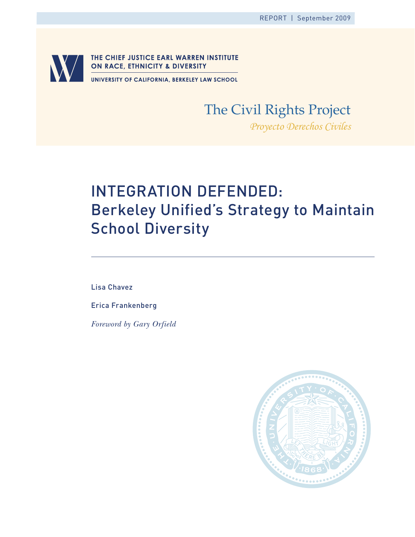

# The Civil Rights Project

*Proyecto Derechos Civiles*

# Integration Defended: Berkeley Unified's Strategy to Maintain School Diversity

Lisa Chavez

Erica Frankenberg

*Foreword by Gary Orfield*

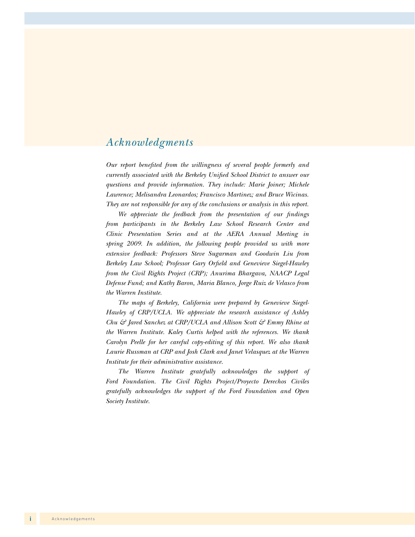# *Acknowledgments*

*Our report benefited from the willingness of several people formerly and currently associated with the Berkeley Unified School District to answer our questions and provide information. They include: Marie Joiner; Michele Lawrence; Melisandra Leonardos; Francisco Martinez; and Bruce Wicinas. They are not responsible for any of the conclusions or analysis in this report.*

*We appreciate the feedback from the presentation of our findings from participants in the Berkeley Law School Research Center and Clinic Presentation Series and at the AERA Annual Meeting in spring 2009. In addition, the following people provided us with more extensive feedback: Professors Steve Sugarman and Goodwin Liu from Berkeley Law School; Professor Gary Orfield and Genevieve Siegel-Hawley from the Civil Rights Project (CRP); Anurima Bhargava, NAACP Legal Defense Fund; and Kathy Baron, Maria Blanco, Jorge Ruiz de Velasco from the Warren Institute.*

*The maps of Berkeley, California were prepared by Genevieve Siegel-Hawley of CRP/UCLA. We appreciate the research assistance of Ashley Chu & Jared Sanchez at CRP/UCLA and Allison Scott & Emmy Rhine at the Warren Institute. Kaley Curtis helped with the references. We thank Carolyn Peelle for her careful copy-editing of this report. We also thank Laurie Russman at CRP and Josh Clark and Janet Velasquez at the Warren Institute for their administrative assistance.*

*The Warren Institute gratefully acknowledges the support of Ford Foundation. The Civil Rights Project/Proyecto Derechos Civiles gratefully acknowledges the support of the Ford Foundation and Open Society Institute.*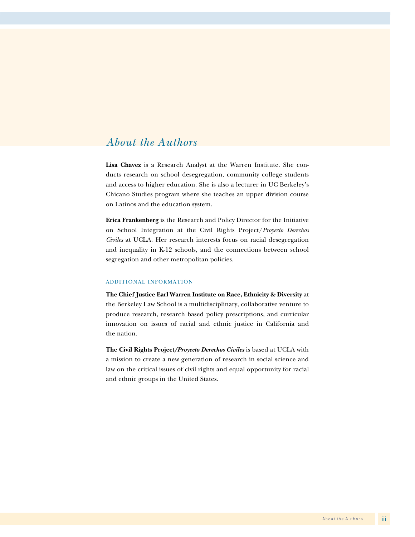# *About the Authors*

**Lisa Chavez** is a Research Analyst at the Warren Institute. She conducts research on school desegregation, community college students and access to higher education. She is also a lecturer in UC Berkeley's Chicano Studies program where she teaches an upper division course on Latinos and the education system.

**Erica Frankenberg** is the Research and Policy Director for the Initiative on School Integration at the Civil Rights Project/*Proyecto Derechos Civiles* at UCLA. Her research interests focus on racial desegregation and inequality in K-12 schools, and the connections between school segregation and other metropolitan policies.

#### Additional Information

**The Chief Justice Earl Warren Institute on Race, Ethnicity & Diversity** at the Berkeley Law School is a multidisciplinary, collaborative venture to produce research, research based policy prescriptions, and curricular innovation on issues of racial and ethnic justice in California and the nation.

**The Civil Rights Project***/Proyecto Derechos Civiles* is based at UCLA with a mission to create a new generation of research in social science and law on the critical issues of civil rights and equal opportunity for racial and ethnic groups in the United States.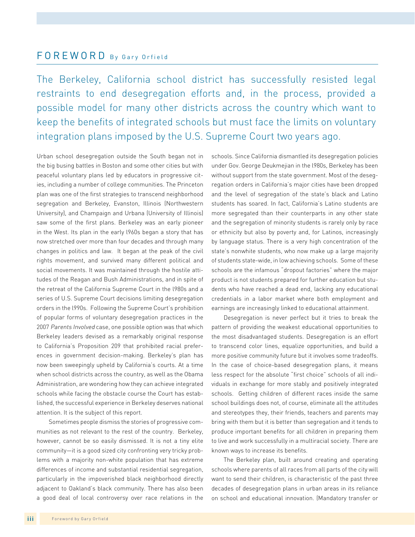# FOREWORD By Gary Orfield

The Berkeley, California school district has successfully resisted legal restraints to end desegregation efforts and, in the process, provided a possible model for many other districts across the country which want to keep the benefits of integrated schools but must face the limits on voluntary integration plans imposed by the U.S. Supreme Court two years ago.

Urban school desegregation outside the South began not in the big busing battles in Boston and some other cities but with peaceful voluntary plans led by educators in progressive cities, including a number of college communities. The Princeton plan was one of the first strategies to transcend neighborhood segregation and Berkeley, Evanston, Illinois (Northwestern University), and Champaign and Urbana (University of Illinois) saw some of the first plans. Berkeley was an early pioneer in the West. Its plan in the early l960s began a story that has now stretched over more than four decades and through many changes in politics and law. It began at the peak of the civil rights movement, and survived many different political and social movements. It was maintained through the hostile attitudes of the Reagan and Bush Administrations, and in spite of the retreat of the California Supreme Court in the l980s and a series of U.S. Supreme Court decisions limiting desegregation orders in the l990s. Following the Supreme Court's prohibition of popular forms of voluntary desegregation practices in the 2007 Parents Involved case, one possible option was that which Berkeley leaders devised as a remarkably original response to California's Proposition 209 that prohibited racial preferences in government decision-making. Berkeley's plan has now been sweepingly upheld by California's courts. At a time when school districts across the country, as well as the Obama Administration, are wondering how they can achieve integrated schools while facing the obstacle course the Court has established, the successful experience in Berkeley deserves national attention. It is the subject of this report.

Sometimes people dismiss the stories of progressive communities as not relevant to the rest of the country. Berkeley, however, cannot be so easily dismissed. It is not a tiny elite community—it is a good sized city confronting very tricky problems with a majority non-white population that has extreme differences of income and substantial residential segregation, particularly in the impoverished black neighborhood directly adjacent to Oakland's black community. There has also been a good deal of local controversy over race relations in the

schools. Since California dismantled its desegregation policies under Gov. George Deukmejian in the l980s, Berkeley has been without support from the state government. Most of the desegregation orders in California's major cities have been dropped and the level of segregation of the state's black and Latino students has soared. In fact, California's Latino students are more segregated than their counterparts in any other state and the segregation of minority students is rarely only by race or ethnicity but also by poverty and, for Latinos, increasingly by language status. There is a very high concentration of the state's nonwhite students, who now make up a large majority of students state-wide, in low achieving schools. Some of these schools are the infamous "dropout factories" where the major product is not students prepared for further education but students who have reached a dead end, lacking any educational credentials in a labor market where both employment and earnings are increasingly linked to educational attainment.

Desegregation is never perfect but it tries to break the pattern of providing the weakest educational opportunities to the most disadvantaged students. Desegregation is an effort to transcend color lines, equalize opportunities, and build a more positive community future but it involves some tradeoffs. In the case of choice-based desegregation plans, it means less respect for the absolute "first choice" schools of all individuals in exchange for more stably and positively integrated schools. Getting children of different races inside the same school buildings does not, of course, eliminate all the attitudes and stereotypes they, their friends, teachers and parents may bring with them but it is better than segregation and it tends to produce important benefits for all children in preparing them to live and work successfully in a multiracial society. There are known ways to increase its benefits.

The Berkeley plan, built around creating and operating schools where parents of all races from all parts of the city will want to send their children, is characteristic of the past three decades of desegregation plans in urban areas in its reliance on school and educational innovation. (Mandatory transfer or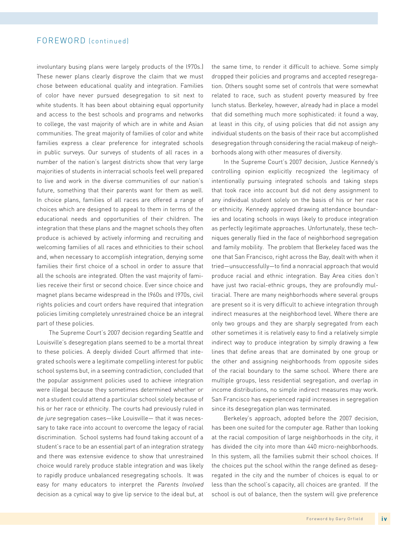## FOREWORD (continued)

involuntary busing plans were largely products of the l970s.) These newer plans clearly disprove the claim that we must chose between educational quality and integration. Families of color have never pursued desegregation to sit next to white students. It has been about obtaining equal opportunity and access to the best schools and programs and networks to college, the vast majority of which are in white and Asian communities. The great majority of families of color and white families express a clear preference for integrated schools in public surveys. Our surveys of students of all races in a number of the nation's largest districts show that very large majorities of students in interracial schools feel well prepared to live and work in the diverse communities of our nation's future, something that their parents want for them as well. In choice plans, families of all races are offered a range of choices which are designed to appeal to them in terms of the educational needs and opportunities of their children. The integration that these plans and the magnet schools they often produce is achieved by actively informing and recruiting and welcoming families of all races and ethnicities to their school and, when necessary to accomplish integration, denying some families their first choice of a school in order to assure that all the schools are integrated. Often the vast majority of families receive their first or second choice. Ever since choice and magnet plans became widespread in the l960s and l970s, civil rights policies and court orders have required that integration policies limiting completely unrestrained choice be an integral part of these policies.

The Supreme Court's 2007 decision regarding Seattle and Louisville's desegregation plans seemed to be a mortal threat to these policies. A deeply divided Court affirmed that integrated schools were a legitimate compelling interest for public school systems but, in a seeming contradiction, concluded that the popular assignment policies used to achieve integration were illegal because they sometimes determined whether or not a student could attend a particular school solely because of his or her race or ethnicity. The courts had previously ruled in de jure segregation cases—like Louisville— that it was necessary to take race into account to overcome the legacy of racial discrimination. School systems had found taking account of a student's race to be an essential part of an integration strategy and there was extensive evidence to show that unrestrained choice would rarely produce stable integration and was likely to rapidly produce unbalanced resegregating schools. It was easy for many educators to interpret the Parents Involved decision as a cynical way to give lip service to the ideal but, at the same time, to render it difficult to achieve. Some simply dropped their policies and programs and accepted resegregation. Others sought some set of controls that were somewhat related to race, such as student poverty measured by free lunch status. Berkeley, however, already had in place a model that did something much more sophisticated: it found a way, at least in this city, of using policies that did not assign any individual students on the basis of their race but accomplished desegregation through considering the racial makeup of neighborhoods along with other measures of diversity.

In the Supreme Court's 2007 decision, Justice Kennedy's controlling opinion explicitly recognized the legitimacy of intentionally pursuing integrated schools and taking steps that took race into account but did not deny assignment to any individual student solely on the basis of his or her race or ethnicity. Kennedy approved drawing attendance boundaries and locating schools in ways likely to produce integration as perfectly legitimate approaches. Unfortunately, these techniques generally flied in the face of neighborhood segregation and family mobility. The problem that Berkeley faced was the one that San Francisco, right across the Bay, dealt with when it tried—unsuccessfully—to find a nonracial approach that would produce racial and ethnic integration. Bay Area cities don't have just two racial-ethnic groups, they are profoundly multiracial. There are many neighborhoods where several groups are present so it is very difficult to achieve integration through indirect measures at the neighborhood level. Where there are only two groups and they are sharply segregated from each other sometimes it is relatively easy to find a relatively simple indirect way to produce integration by simply drawing a few lines that define areas that are dominated by one group or the other and assigning neighborhoods from opposite sides of the racial boundary to the same school. Where there are multiple groups, less residential segregation, and overlap in income distributions, no simple indirect measures may work. San Francisco has experienced rapid increases in segregation since its desegregation plan was terminated.

Berkeley's approach, adopted before the 2007 decision, has been one suited for the computer age. Rather than looking at the racial composition of large neighborhoods in the city, it has divided the city into more than 440 micro-neighborhoods. In this system, all the families submit their school choices. If the choices put the school within the range defined as desegregated in the city and the number of choices is equal to or less than the school's capacity, all choices are granted. If the school is out of balance, then the system will give preference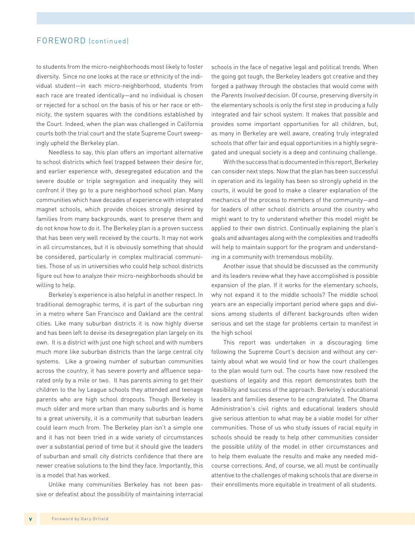## FOREWORD (continued)

to students from the micro-neighborhoods most likely to foster diversity. Since no one looks at the race or ethnicity of the individual student—in each micro-neighborhood, students from each race are treated identically—and no individual is chosen or rejected for a school on the basis of his or her race or ethnicity, the system squares with the conditions established by the Court. Indeed, when the plan was challenged in California courts both the trial court and the state Supreme Court sweepingly upheld the Berkeley plan.

Needless to say, this plan offers an important alternative to school districts which feel trapped between their desire for, and earlier experience with, desegregated education and the severe double or triple segregation and inequality they will confront if they go to a pure neighborhood school plan. Many communities which have decades of experience with integrated magnet schools, which provide choices strongly desired by families from many backgrounds, want to preserve them and do not know how to do it. The Berkeley plan is a proven success that has been very well received by the courts. It may not work in all circumstances, but it is obviously something that should be considered, particularly in complex multiracial communities. Those of us in universities who could help school districts figure out how to analyze their micro-neighborhoods should be willing to help.

Berkeley's experience is also helpful in another respect. In traditional demographic terms, it is part of the suburban ring in a metro where San Francisco and Oakland are the central cities. Like many suburban districts it is now highly diverse and has been left to devise its desegregation plan largely on its own. It is a district with just one high school and with numbers much more like suburban districts than the large central city systems. Like a growing number of suburban communities across the country, it has severe poverty and affluence separated only by a mile or two. It has parents aiming to get their children to the Ivy League schools they attended and teenage parents who are high school dropouts. Though Berkeley is much older and more urban than many suburbs and is home to a great university, it is a community that suburban leaders could learn much from. The Berkeley plan isn't a simple one and it has not been tried in a wide variety of circumstances over a substantial period of time but it should give the leaders of suburban and small city districts confidence that there are newer creative solutions to the bind they face. Importantly, this is a model that has worked.

Unlike many communities Berkeley has not been passive or defeatist about the possibility of maintaining interracial schools in the face of negative legal and political trends. When the going got tough, the Berkeley leaders got creative and they forged a pathway through the obstacles that would come with the Parents Involved decision. Of course, preserving diversity in the elementary schools is only the first step in producing a fully integrated and fair school system. It makes that possible and provides some important opportunities for all children, but, as many in Berkeley are well aware, creating truly integrated schools that offer fair and equal opportunities in a highly segregated and unequal society is a deep and continuing challenge.

With the success that is documented in this report, Berkeley can consider next steps. Now that the plan has been successful in operation and its legality has been so strongly upheld in the courts, it would be good to make a clearer explanation of the mechanics of the process to members of the community—and for leaders of other school districts around the country who might want to try to understand whether this model might be applied to their own district. Continually explaining the plan's goals and advantages along with the complexities and tradeoffs will help to maintain support for the program and understanding in a community with tremendous mobility.

Another issue that should be discussed as the community and its leaders review what they have accomplished is possible expansion of the plan. If it works for the elementary schools, why not expand it to the middle schools? The middle school years are an especially important period where gaps and divisions among students of different backgrounds often widen serious and set the stage for problems certain to manifest in the high school

This report was undertaken in a discouraging time following the Supreme Court's decision and without any certainty about what we would find or how the court challenges to the plan would turn out. The courts have now resolved the questions of legality and this report demonstrates both the feasibility and success of the approach. Berkeley's educational leaders and families deserve to be congratulated. The Obama Administration's civil rights and educational leaders should give serious attention to what may be a viable model for other communities. Those of us who study issues of racial equity in schools should be ready to help other communities consider the possible utility of the model in other circumstances and to help them evaluate the results and make any needed midcourse corrections. And, of course, we all must be continually attentive to the challenges of making schools that are diverse in their enrollments more equitable in treatment of all students.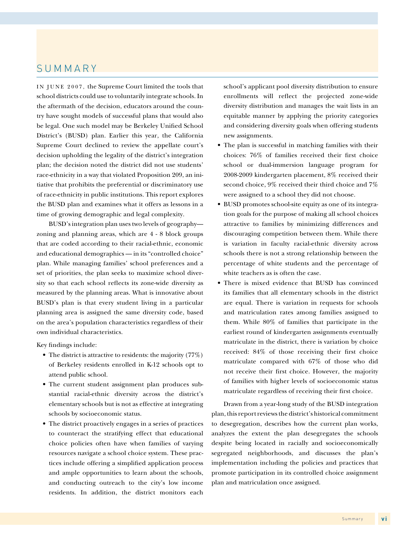# SUMMARY

IN JUNE 2007, the Supreme Court limited the tools that school districts could use to voluntarily integrate schools. In the aftermath of the decision, educators around the country have sought models of successful plans that would also be legal. One such model may be Berkeley Unified School District's (BUSD) plan. Earlier this year, the California Supreme Court declined to review the appellate court's decision upholding the legality of the district's integration plan; the decision noted the district did not use students' race-ethnicity in a way that violated Proposition 209, an initiative that prohibits the preferential or discriminatory use of race-ethnicity in public institutions. This report explores the BUSD plan and examines what it offers as lessons in a time of growing demographic and legal complexity.

BUSD's integration plan uses two levels of geography zoning and planning areas, which are 4 - 8 block groups that are coded according to their racial-ethnic, economic and educational demographics — in its "controlled choice" plan. While managing families' school preferences and a set of priorities, the plan seeks to maximize school diversity so that each school reflects its zone-wide diversity as measured by the planning areas. What is innovative about BUSD's plan is that every student living in a particular planning area is assigned the same diversity code, based on the area's population characteristics regardless of their own individual characteristics.

Key findings include:

- The district is attractive to residents: the majority  $(77%)$ of Berkeley residents enrolled in K-12 schools opt to attend public school.
- The current student assignment plan produces substantial racial-ethnic diversity across the district's elementary schools but is not as effective at integrating schools by socioeconomic status.
- The district proactively engages in a series of practices to counteract the stratifying effect that educational choice policies often have when families of varying resources navigate a school choice system. These practices include offering a simplified application process and ample opportunities to learn about the schools, and conducting outreach to the city's low income residents. In addition, the district monitors each

school's applicant pool diversity distribution to ensure enrollments will reflect the projected zone-wide diversity distribution and manages the wait lists in an equitable manner by applying the priority categories and considering diversity goals when offering students new assignments.

- The plan is successful in matching families with their choices: 76% of families received their first choice school or dual-immersion language program for 2008-2009 kindergarten placement, 8% received their second choice, 9% received their third choice and 7% were assigned to a school they did not choose.
- • BUSD promotes school-site equity as one of its integration goals for the purpose of making all school choices attractive to families by minimizing differences and discouraging competition between them. While there is variation in faculty racial-ethnic diversity across schools there is not a strong relationship between the percentage of white students and the percentage of white teachers as is often the case.
- There is mixed evidence that BUSD has convinced its families that all elementary schools in the district are equal. There is variation in requests for schools and matriculation rates among families assigned to them. While 80% of families that participate in the earliest round of kindergarten assignments eventually matriculate in the district, there is variation by choice received: 84% of those receiving their first choice matriculate compared with 67% of those who did not receive their first choice. However, the majority of families with higher levels of socioeconomic status matriculate regardless of receiving their first choice.

Drawn from a year-long study of the BUSD integration plan, this report reviews the district's historical commitment to desegregation, describes how the current plan works, analyzes the extent the plan desegregates the schools despite being located in racially and socioeconomically segregated neighborhoods, and discusses the plan's implementation including the policies and practices that promote participation in its controlled choice assignment plan and matriculation once assigned.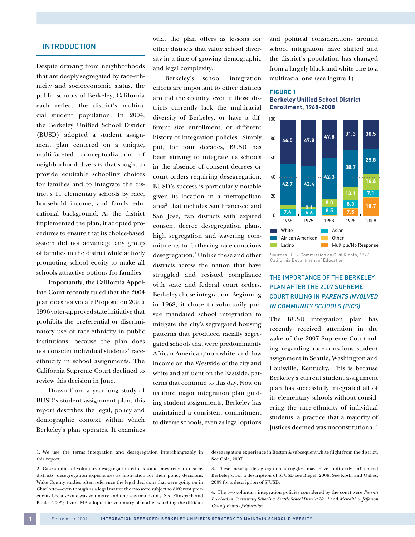#### **INTRODUCTION**

Despite drawing from neighborhoods that are deeply segregated by race-ethnicity and socioeconomic status, the public schools of Berkeley, California each reflect the district's multiracial student population. In 2004, the Berkeley Unified School District (BUSD) adopted a student assignment plan centered on a unique, multi-faceted conceptualization of neighborhood diversity that sought to provide equitable schooling choices for families and to integrate the district's 11 elementary schools by race, household income, and family educational background. As the district implemented the plan, it adopted procedures to ensure that its choice-based system did not advantage any group of families in the district while actively promoting school equity to make all schools attractive options for families.

Importantly, the California Appellate Court recently ruled that the 2004 plan does not violate Proposition 209, a 1996 voter-approved state initiative that prohibits the preferential or discriminatory use of race-ethnicity in public institutions, because the plan does not consider individual students' raceethnicity in school assignments. The California Supreme Court declined to review this decision in June.

Drawn from a year-long study of BUSD's student assignment plan, this report describes the legal, policy and demographic context within which Berkeley's plan operates. It examines

what the plan offers as lessons for other districts that value school diversity in a time of growing demographic and legal complexity.

Berkeley's school integration efforts are important to other districts around the country, even if those districts currently lack the multiracial diversity of Berkeley, or have a different size enrollment, or different history of integration policies.<sup>1</sup> Simply put, for four decades, BUSD has been striving to integrate its schools in the absence of consent decrees or court orders requiring desegregation. BUSD's success is particularly notable given its location in a metropolitan area2 that includes San Francisco and San Jose, two districts with expired consent decree desegregation plans, high segregation and wavering commitments to furthering race-conscious desegregation.3 Unlike these and other districts across the nation that have struggled and resisted compliance with state and federal court orders, Berkeley chose integration. Beginning in 1968, it chose to voluntarily pursue mandated school integration to mitigate the city's segregated housing patterns that produced racially segregated schools that were predominantly African-American/non-white and low income on the Westside of the city and white and affluent on the Eastside, patterns that continue to this day. Now on its third major integration plan guiding student assignments, Berkeley has maintained a consistent commitment to diverse schools, even as legal options

and political considerations around school integration have shifted and the district's population has changed from a largely black and white one to a multiracial one (see Figure 1).

#### **Figure 1 Berkeley Unified School District Enrollment, 1968-2008**



Sources: U.S. Commission on Civil Rights, 1977; California Department of Education

## The Importance of the Berkeley Plan After the 2007 Supreme Court Ruling in Parents Involved in Community Schools (PICS)

The BUSD integration plan has recently received attention in the wake of the 2007 Supreme Court ruling regarding race-conscious student assignment in Seattle, Washington and Louisville, Kentucky. This is because Berkeley's current student assignment plan has successfully integrated all of its elementary schools without considering the race-ethnicity of individual students, a practice that a majority of Justices deemed was unconstitutional.4

desegregation experience in Boston & subsequent white flight from the district. See Cole, 2007.

3. These nearby desegregation struggles may have indirectly influenced Berkeley's. For a description of SFUSD see Biegel, 2008. See Koski and Oakes, 2009 for a description of SJUSD.

4. The two voluntary integration policies considered by the court were *Parents Involved in Community Schools v. Seattle School District No. 1* and *Meredith v. Jefferson County Board of Education.*

<sup>1.</sup> We use the terms integration and desegregation interchangeably in this report.

<sup>2.</sup> Case studies of voluntary desegregation efforts sometimes refer to nearby districts' desegregation experiences as motivation for their policy decisions. Wake County studies often reference the legal decisions that were going on in Charlotte—even though as a legal matter the two were subject to different precedents because one was voluntary and one was mandatory. See Flinspach and Banks, 2005; Lynn, MA adopted its voluntary plan after watching the difficult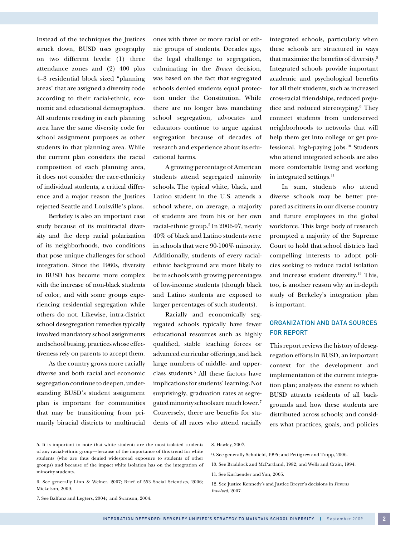Instead of the techniques the Justices struck down, BUSD uses geography on two different levels: (1) three attendance zones and (2) 400 plus 4–8 residential block sized "planning areas" that are assigned a diversity code according to their racial-ethnic, economic and educational demographics. All students residing in each planning area have the same diversity code for school assignment purposes as other students in that planning area. While the current plan considers the racial composition of each planning area, it does not consider the race-ethnicity of individual students, a critical difference and a major reason the Justices rejected Seattle and Louisville's plans.

Berkeley is also an important case study because of its multiracial diversity and the deep racial polarization of its neighborhoods, two conditions that pose unique challenges for school integration. Since the 1960s, diversity in BUSD has become more complex with the increase of non-black students of color, and with some groups experiencing residential segregation while others do not. Likewise, intra-district school desegregation remedies typically involved mandatory school assignments and school busing, practices whose effectiveness rely on parents to accept them.

As the country grows more racially diverse and both racial and economic segregation continue to deepen, understanding BUSD's student assignment plan is important for communities that may be transitioning from primarily biracial districts to multiracial

ones with three or more racial or ethnic groups of students. Decades ago, the legal challenge to segregation, culminating in the *Brown* decision, was based on the fact that segregated schools denied students equal protection under the Constitution. While there are no longer laws mandating school segregation, advocates and educators continue to argue against segregation because of decades of research and experience about its educational harms.

A growing percentage of American students attend segregated minority schools. The typical white, black, and Latino student in the U.S. attends a school where, on average, a majority of students are from his or her own racial-ethnic group.5 In 2006-07, nearly 40% of black and Latino students were in schools that were 90-100% minority. Additionally, students of every racialethnic background are more likely to be in schools with growing percentages of low-income students (though black and Latino students are exposed to larger percentages of such students).

Racially and economically segregated schools typically have fewer educational resources such as highly qualified, stable teaching forces or advanced curricular offerings, and lack large numbers of middle- and upperclass students.6 All these factors have implications for students' learning.Not surprisingly, graduation rates at segregated minority schools are much lower.7 Conversely, there are benefits for students of all races who attend racially

integrated schools, particularly when these schools are structured in ways that maximize the benefits of diversity.8 Integrated schools provide important academic and psychological benefits for all their students, such as increased cross-racial friendships, reduced prejudice and reduced stereotyping.9 They connect students from underserved neighborhoods to networks that will help them get into college or get professional, high-paying jobs.10 Students who attend integrated schools are also more comfortable living and working in integrated settings. $<sup>11</sup>$ </sup>

In sum, students who attend diverse schools may be better prepared as citizens in our diverse country and future employees in the global workforce. This large body of research prompted a majority of the Supreme Court to hold that school districts had compelling interests to adopt policies seeking to reduce racial isolation and increase student diversity.12 This, too, is another reason why an in-depth study of Berkeley's integration plan is important.

#### Organization and Data Sources for Report

This report reviews the history of desegregation efforts in BUSD, an important context for the development and implementation of the current integration plan; analyzes the extent to which BUSD attracts residents of all backgrounds and how these students are distributed across schools; and considers what practices, goals, and policies

#### 5. It is important to note that white students are the most isolated students of any racial-ethnic group—because of the importance of this trend for white students (who are thus denied widespread exposure to students of other groups) and because of the impact white isolation has on the integration of minority students.

6. See generally Linn & Welner, 2007; Brief of 553 Social Scientists, 2006; Mickelson, 2009.

7. See Balfanz and Legters, 2004; and Swanson, 2004.

8. Hawley, 2007.

10. See Braddock and McPartland, 1982; and Wells and Crain, 1994.

12. See Justice Kennedy's and Justice Breyer's decisions in *Parents Involved*, 2007.

<sup>9.</sup> See generally Schofield, 1995; and Pettigrew and Tropp, 2006.

<sup>11.</sup> See Kurlaender and Yun, 2005.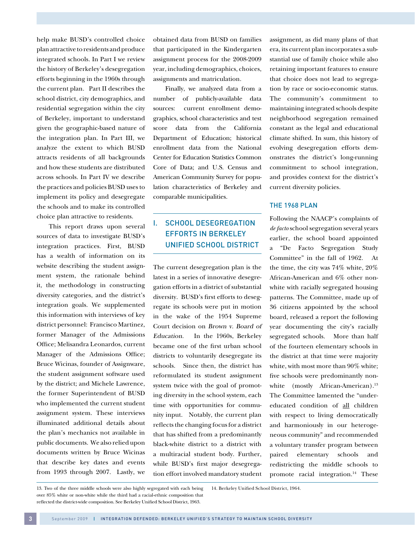help make BUSD's controlled choice plan attractive to residents and produce integrated schools. In Part I we review the history of Berkeley's desegregation efforts beginning in the 1960s through the current plan. Part II describes the school district, city demographics, and residential segregation within the city of Berkeley, important to understand given the geographic-based nature of the integration plan. In Part III, we analyze the extent to which BUSD attracts residents of all backgrounds and how these students are distributed across schools. In Part IV we describe the practices and policies BUSD uses to implement its policy and desegregate the schools and to make its controlled choice plan attractive to residents.

This report draws upon several sources of data to investigate BUSD's integration practices. First, BUSD has a wealth of information on its website describing the student assignment system, the rationale behind it, the methodology in constructing diversity categories, and the district's integration goals. We supplemented this information with interviews of key district personnel: Francisco Martinez, former Manager of the Admissions Office; Melisandra Leonardos, current Manager of the Admissions Office; Bruce Wicinas, founder of Assignware, the student assignment software used by the district; and Michele Lawrence, the former Superintendent of BUSD who implemented the current student assignment system. These interviews illuminated additional details about the plan's mechanics not available in public documents. We also relied upon documents written by Bruce Wicinas that describe key dates and events from 1993 through 2007. Lastly, we

obtained data from BUSD on families that participated in the Kindergarten assignment process for the 2008-2009 year, including demographics, choices, assignments and matriculation.

Finally, we analyzed data from a number of publicly-available data sources: current enrollment demographics, school characteristics and test score data from the California Department of Education; historical enrollment data from the National Center for Education Statistics Common Core of Data; and U.S. Census and American Community Survey for population characteristics of Berkeley and comparable municipalities.

# I. SCHOOL DESEGREGATION EFFORTS IN BERKELEY UNIFIED SCHOOL DISTRICT

The current desegregation plan is the latest in a series of innovative desegregation efforts in a district of substantial diversity. BUSD's first efforts to desegregate its schools were put in motion in the wake of the 1954 Supreme Court decision on Brown v. Board of Education. In the 1960s, Berkeley became one of the first urban school districts to voluntarily desegregate its schools. Since then, the district has reformulated its student assignment system twice with the goal of promoting diversity in the school system, each time with opportunities for community input. Notably, the current plan reflects the changing focus for a district that has shifted from a predominantly black-white district to a district with a multiracial student body. Further, while BUSD's first major desegregation effort involved mandatory student

assignment, as did many plans of that era, its current plan incorporates a substantial use of family choice while also retaining important features to ensure that choice does not lead to segregation by race or socio-economic status. The community's commitment to maintaining integrated schools despite neighborhood segregation remained constant as the legal and educational climate shifted. In sum, this history of evolving desegregation efforts demonstrates the district's long-running commitment to school integration, and provides context for the district's current diversity policies.

#### The 1968 Plan

Following the NAACP's complaints of *de facto* school segregation several years earlier, the school board appointed a "De Facto Segregation Study Committee" in the fall of 1962. At the time, the city was 74% white, 20% African-American and 6% other nonwhite with racially segregated housing patterns. The Committee, made up of 36 citizens appointed by the school board, released a report the following year documenting the city's racially segregated schools. More than half of the fourteen elementary schools in the district at that time were majority white, with most more than 90% white; five schools were predominantly nonwhite (mostly African-American).<sup>13</sup> The Committee lamented the "undereducated condition of all children with respect to living democratically and harmoniously in our heterogeneous community" and recommended a voluntary transfer program between paired elementary schools and redistricting the middle schools to promote racial integration.<sup>14</sup> These

13. Two of the three middle schools were also highly segregated with each being over 85% white or non-white while the third had a racial-ethnic composition that reflected the district-wide composition. See Berkeley Unified School District, 1963. 14. Berkeley Unified School District, 1964.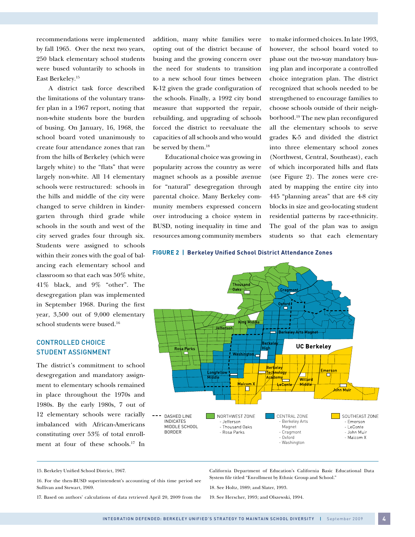recommendations were implemented by fall 1965. Over the next two years, 250 black elementary school students were bused voluntarily to schools in East Berkeley.15

A district task force described the limitations of the voluntary transfer plan in a 1967 report, noting that non-white students bore the burden of busing. On January, 16, 1968, the school board voted unanimously to create four attendance zones that ran from the hills of Berkeley (which were largely white) to the "flats" that were largely non-white. All 14 elementary schools were restructured: schools in the hills and middle of the city were changed to serve children in kindergarten through third grade while schools in the south and west of the city served grades four through six. Students were assigned to schools within their zones with the goal of balancing each elementary school and classroom so that each was 50% white, 41% black, and 9% "other". The desegregation plan was implemented in September 1968. During the first year, 3,500 out of 9,000 elementary school students were bused.16

#### CONTROLLED CHOICE Student Assignment

The district's commitment to school desegregation and mandatory assignment to elementary schools remained in place throughout the 1970s and 1980s. By the early 1980s, 7 out of 12 elementary schools were racially imbalanced with African-Americans constituting over 53% of total enrollment at four of these schools.17 In

addition, many white families were opting out of the district because of busing and the growing concern over the need for students to transition to a new school four times between K-12 given the grade configuration of the schools. Finally, a 1992 city bond measure that supported the repair, rebuilding, and upgrading of schools forced the district to reevaluate the capacities of all schools and who would be served by them.<sup>18</sup>

Educational choice was growing in popularity across the country as were magnet schools as a possible avenue for "natural" desegregation through parental choice. Many Berkeley community members expressed concern over introducing a choice system in BUSD, noting inequality in time and resources among community members to make informed choices. In late 1993, however, the school board voted to phase out the two-way mandatory busing plan and incorporate a controlled choice integration plan. The district recognized that schools needed to be strengthened to encourage families to choose schools outside of their neighborhood.19 The new plan reconfigured all the elementary schools to serve grades K-5 and divided the district into three elementary school zones (Northwest, Central, Southeast), each of which incorporated hills and flats (see Figure 2). The zones were created by mapping the entire city into 445 "planning areas" that are 4-8 city blocks in size and geo-locating student residential patterns by race-ethnicity. The goal of the plan was to assign students so that each elementary

#### FIGURE 2 | Berkeley Unified School District Attendance Zones



<sup>15.</sup> Berkeley Unified School District, 1967.

17. Based on authors' calculations of data retrieved April 20, 2009 from the

California Department of Education's California Basic Educational Data System file titled "Enrollment by Ethnic Group and School."

18. See Holtz, 1989; and Slater, 1993.

19. See Herscher, 1993; and Olszewski, 1994.

<sup>16.</sup> For the then-BUSD superintendent's accounting of this time period see Sullivan and Stewart, 1969.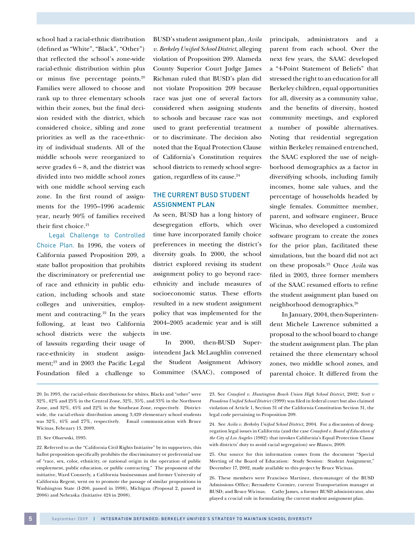school had a racial-ethnic distribution (defined as "White", "Black", "Other") that reflected the school's zone-wide racial-ethnic distribution within plus or minus five percentage points.20 Families were allowed to choose and rank up to three elementary schools within their zones, but the final decision resided with the district, which considered choice, sibling and zone priorities as well as the race-ethnicity of individual students. All of the middle schools were reorganized to serve grades  $6 - 8$ , and the district was divided into two middle school zones with one middle school serving each zone. In the first round of assignments for the 1995–1996 academic year, nearly 90% of families received their first choice.<sup>21</sup>

Legal Challenge to Controlled Choice Plan. In 1996, the voters of California passed Proposition 209, a state ballot proposition that prohibits the discriminatory or preferential use of race and ethnicity in public education, including schools and state colleges and universities, employment and contracting.<sup>22</sup> In the years following, at least two California school districts were the subjects of lawsuits regarding their usage of race-ethnicity in student assignment;<sup>23</sup> and in 2003 the Pacific Legal Foundation filed a challenge to

BUSD's student assignment plan, *Avila v. Berkeley Unified School District*, alleging violation of Proposition 209. Alameda County Superior Court Judge James Richman ruled that BUSD's plan did not violate Proposition 209 because race was just one of several factors considered when assigning students to schools and because race was not used to grant preferential treatment or to discriminate. The decision also noted that the Equal Protection Clause of California's Constitution requires school districts to remedy school segregation, regardless of its cause.<sup>24</sup>

#### The Current BUSD Student Assignment Plan

As seen, BUSD has a long history of desegregation efforts, which over time have incorporated family choice preferences in meeting the district's diversity goals. In 2000, the school district explored revising its student assignment policy to go beyond raceethnicity and include measures of socioeconomic status. These efforts resulted in a new student assignment policy that was implemented for the 2004–2005 academic year and is still in use.

In 2000, then-BUSD Superintendent Jack McLaughlin convened the Student Assignment Advisory Committee (SAAC), composed of principals, administrators and a parent from each school. Over the next few years, the SAAC developed a "4-Point Statement of Beliefs" that stressed the right to an education for all Berkeley children, equal opportunities for all, diversity as a community value, and the benefits of diversity, hosted community meetings, and explored a number of possible alternatives. Noting that residential segregation within Berkeley remained entrenched, the SAAC explored the use of neighborhood demographics as a factor in diversifying schools, including family incomes, home sale values, and the percentage of households headed by single females. Committee member, parent, and software engineer, Bruce Wicinas, who developed a customized software program to create the zones for the prior plan, facilitated these simulations, but the board did not act on these proposals.25 Once *Avila* was filed in 2003, three former members of the SAAC resumed efforts to refine the student assignment plan based on neighborhood demographics.26

In January, 2004, then-Superintendent Michele Lawrence submitted a proposal to the school board to change the student assignment plan. The plan retained the three elementary school zones, two middle school zones, and parental choice. It differed from the

- 20. In 1993, the racial-ethnic distributions for whites, Blacks and "other" were 32%, 42% and 25% in the Central Zone, 32%, 35%, and 33% in the Northwest Zone, and 32%, 45% and 22% in the Southeast Zone, respectively. Districtwide, the racial-ethnic distribution among 3,420 elementary school students was 32%, 41% and 27%, respectively. Email communication with Bruce Wicinas, February 13, 2009.
- 21. See Olszewski, 1995.

22. Referred to as the "California Civil Rights Initiative" by its supporters, this ballot proposition specifically prohibits the discriminatory or preferential use of "race, sex, color, ethnicity, or national origin in the operation of public employment, public education, or public contracting." The proponent of the initiative, Ward Connerly, a California businessman and former University of California Regent, went on to promote the passage of similar propositions in Washington State (I-200, passed in 1998), Michigan (Proposal 2, passed in 2006) and Nebraska (Initiative 424 in 2008).

23. See *Crawford v. Huntington Beach Union High School District,* 2002; *Scott v Pasadena Unified School District* (1999) was filed in federal court but also claimed violation of Article 1, Section 31 of the California Constitution Section 31, the legal code pertaining to Proposition 209.

<sup>24.</sup> See *Avila v. Berkeley Unified School District,* 2004. For a discussion of desegregation legal issues in California (and the case *Crawford v. Board of Education of the City of Los Angeles* (1982) that invokes California's Equal Protection Clause with districts' duty to avoid racial segregation) see Blanco, 2009.

<sup>25.</sup> Our source for this information comes from the document "Special Meeting of the Board of Education: Study Session: Student Assignment," December 17, 2002, made available to this project by Bruce Wicinas.

<sup>26.</sup> These members were Francisco Martinez, then-manager of the BUSD Admissions Office; Bernadette Cormier, current Transportation manager at BUSD; and Bruce Wicinas. Cathy James, a former BUSD administrator, also played a crucial role in formulating the current student assignment plan.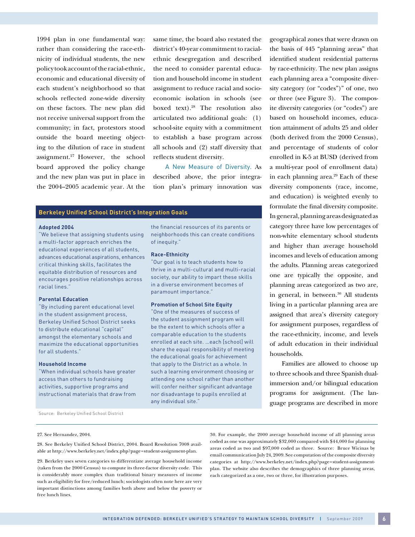1994 plan in one fundamental way: rather than considering the race-ethnicity of individual students, the new policy took account of the racial-ethnic, economic and educational diversity of each student's neighborhood so that schools reflected zone-wide diversity on these factors. The new plan did not receive universal support from the community; in fact, protestors stood outside the board meeting objecting to the dilution of race in student assignment.27 However, the school board approved the policy change and the new plan was put in place in the 2004–2005 academic year. At the

same time, the board also restated the district's 40-year commitment to racialethnic desegregation and described the need to consider parental education and household income in student assignment to reduce racial and socioeconomic isolation in schools (see boxed text).28 The resolution also articulated two additional goals: (1) school-site equity with a commitment to establish a base program across all schools and (2) staff diversity that reflects student diversity.

A New Measure of Diversity. As described above, the prior integration plan's primary innovation was

#### **Berkeley Unified School District's Integration Goals**

#### **Adopted 2004**

"We believe that assigning students using a multi-factor approach enriches the educational experiences of all students, advances educational aspirations, enhances critical thinking skills, facilitates the equitable distribution of resources and encourages positive relationships across racial lines."

#### **Parental Education**

"By including parent educational level in the student assignment process, Berkeley Unified School District seeks to distribute educational "capital" amongst the elementary schools and maximize the educational opportunities for all students."

#### **Household Income**

"When individual schools have greater access than others to fundraising activities, supportive programs and instructional materials that draw from the financial resources of its parents or neighborhoods this can create conditions of inequity."

#### **Race-Ethnicity**

"Our goal is to teach students how to thrive in a multi-cultural and multi-racial society, our ability to impart these skills in a diverse environment becomes of paramount importance."

#### **Promotion of School Site Equity**

"One of the measures of success of the student assignment program will be the extent to which schools offer a comparable education to the students enrolled at each site. …each [school] will share the equal responsibility of meeting the educational goals for achievement that apply to the District as a whole. In such a learning environment choosing or attending one school rather than another will confer neither significant advantage nor disadvantage to pupils enrolled at any individual site."

geographical zones that were drawn on the basis of 445 "planning areas" that identified student residential patterns by race-ethnicity. The new plan assigns each planning area a "composite diversity category (or "codes")" of one, two or three (see Figure 3). The composite diversity categories (or "codes") are based on household incomes, education attainment of adults 25 and older (both derived from the 2000 Census), and percentage of students of color enrolled in K-5 at BUSD (derived from a multi-year pool of enrollment data) in each planning area.<sup>29</sup> Each of these diversity components (race, income, and education) is weighted evenly to formulate the final diversity composite. In general, planning areas designated as category three have low percentages of non-white elementary school students and higher than average household incomes and levels of education among the adults. Planning areas categorized one are typically the opposite, and planning areas categorized as two are, in general, in between.<sup>30</sup> All students living in a particular planning area are assigned that area's diversity category for assignment purposes, regardless of the race-ethnicity, income, and levels of adult education in their individual households.

Families are allowed to choose up to three schools and three Spanish dualimmersion and/or bilingual education programs for assignment. (The language programs are described in more

**6**

Source: Berkeley Unified School District

#### 27. See Hernandez, 2004.

28. See Berkeley Unified School District, 2004. Board Resolution 7008 available at http://www.berkeley.net/index.php?page=student-assignment-plan.

29. Berkeley uses seven categories to differentiate average household income (taken from the 2000 Census) to compute its three-factor diversity code. This is considerably more complex than traditional binary measures of income such as eligibility for free/reduced lunch; sociologists often note here are very important distinctions among families both above and below the poverty or free lunch lines.

30. For example, the 2000 average household income of all planning areas coded as one was approximately \$32,000 compared with \$44,000 for planning areas coded as two and \$97,000 coded as three. Source: Bruce Wicinas by email communication July 24, 2009. See computation of the composite diversity categories at http://www.berkeley.net/index.php?page=student-assignmentplan. The website also describes the demographics of three planning areas, each categorized as a one, two or three, for illustration purposes.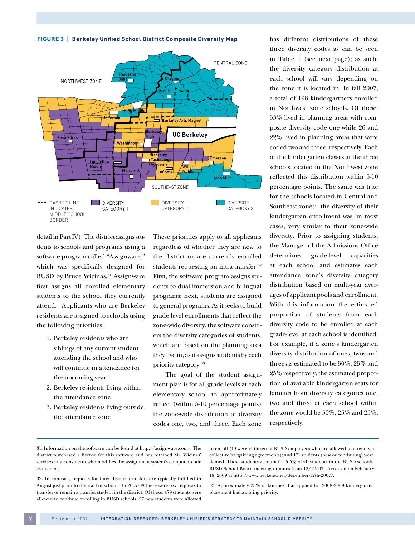FIGURE 3 | Berkeley Unified School District Composite Diversity Map



detail in Part IV). The district assigns students to schools and programs using a software program called "Assignware," which was specifically designed for BUSD by Bruce Wicinas.<sup>31</sup> Assignware first assigns all enrolled elementary students to the school they currently attend. Applicants who are Berkeley residents are assigned to schools using the following priorities:

- 1. Berkeley residents who are siblings of any current student attending the school and who will continue in attendance for the upcoming year
- 2. Berkeley residents living within the attendance zone
- 3. Berkeley residents living outside the attendance zone

These priorities apply to all applicants regardless of whether they are new to the district or are currently enrolled students requesting an intra-transfer.<sup>32</sup> First, the software program assigns students to dual immersion and bilingual programs; next, students are assigned to general programs. As it seeks to build grade-level enrollments that reflect the zone-wide diversity, the software considers the diversity categories of students, which are based on the planning area they live in, as it assigns students by each priority category.<sup>33</sup>

The goal of the student assignment plan is for all grade levels at each elementary school to approximately reflect (within 5-10 percentage points) the zone-wide distribution of diversity codes one, two, and three. Each zone has different distributions of these three diversity codes as can be seen in Table 1 (see next page); as such, the diversity category distribution at each school will vary depending on the zone it is located in. In fall 2007, a total of 198 kindergartners enrolled in Northwest zone schools. Of these, 53% lived in planning areas with composite diversity code one while 26 and 22% lived in planning areas that were coded two and three, respectively. Each of the kindergarten classes at the three schools located in the Northwest zone reflected this distribution within 5-10 percentage points. The same was true for the schools located in Central and Southeast zones: the diversity of their kindergarten enrollment was, in most cases, very similar to their zone-wide diversity. Prior to assigning students, the Manager of the Admissions Office determines grade-level capacities at each school and estimates each attendance zone's diversity category distribution based on multi-year averages of applicant pools and enrollment. With this information the estimated proportion of students from each diversity code to be enrolled at each grade-level at each school is identified. For example, if a zone's kindergarten diversity distribution of ones, twos and threes is estimated to be 50%, 25% and 25% respectively, the estimated proportion of available kindergarten seats for families from diversity categories one, two and three at each school within the zone would be 50%, 25% and 25%, respectively.

31. Information on the software can be found at http://assignware.com/. The district purchased a license for this software and has retained Mr. Wicinas' services as a consultant who modifies the assignment system's computer code as needed.

32. In contrast, requests for inter-district transfers are typically fulfilled in August just prior to the start of school. In 2007-08 there were 677 requests to transfer or remain a transfer student in the district. Of these, 479 students were allowed to continue enrolling in BUSD schools; 27 new students were allowed

to enroll (19 were children of BUSD employees who are allowed to attend via collective bargaining agreements); and 171 students (new or continuing) were denied. These students account for 5.5% of all students in the BUSD schools. BUSD School Board meeting minutes from 12/12/07. Accessed on February 18, 2009 at http://www.berkeley.net/december-12th-2007/.

33. Approximately 25% of families that applied for 2008-2009 kindergarten placement had a sibling priority.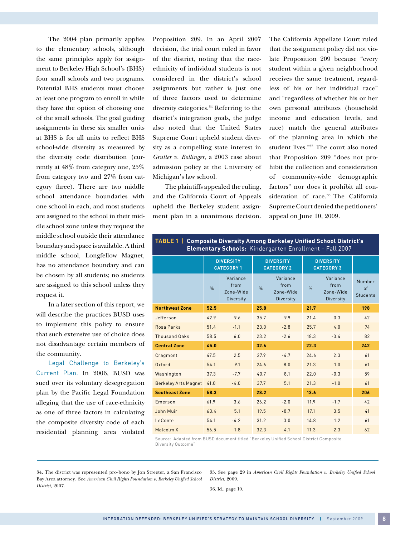The 2004 plan primarily applies to the elementary schools, although the same principles apply for assignment to Berkeley High School's (BHS) four small schools and two programs. Potential BHS students must choose at least one program to enroll in while they have the option of choosing one of the small schools. The goal guiding assignments in these six smaller units at BHS is for all units to reflect BHS school-wide diversity as measured by the diversity code distribution (currently at 48% from category one, 25% from category two and 27% from category three). There are two middle school attendance boundaries with one school in each, and most students are assigned to the school in their middle school zone unless they request the middle school outside their attendance boundary and space is available. A third middle school, Longfellow Magnet, has no attendance boundary and can be chosen by all students; no students are assigned to this school unless they request it.

In a later section of this report, we will describe the practices BUSD uses to implement this policy to ensure that such extensive use of choice does not disadvantage certain members of the community.

Legal Challenge to Berkeley's Current Plan. In 2006, BUSD was sued over its voluntary desegregation plan by the Pacific Legal Foundation alleging that the use of race-ethnicity as one of three factors in calculating the composite diversity code of each residential planning area violated

Proposition 209. In an April 2007 decision, the trial court ruled in favor of the district, noting that the raceethnicity of individual students is not considered in the district's school assignments but rather is just one of three factors used to determine diversity categories.34 Referring to the district's integration goals, the judge also noted that the United States Supreme Court upheld student diversity as a compelling state interest in *Grutter v. Bollinger,* a 2003 case about admission policy at the University of Michigan's law school.

The plaintiffs appealed the ruling, and the California Court of Appeals upheld the Berkeley student assignment plan in a unanimous decision.

The California Appellate Court ruled that the assignment policy did not violate Proposition 209 because "every student within a given neighborhood receives the same treatment, regardless of his or her individual race" and "regardless of whether his or her own personal attributes (household income and education levels, and race) match the general attributes of the planning area in which the student lives."<sup>35</sup> The court also noted that Proposition 209 "does not prohibit the collection and consideration of community-wide demographic factors" nor does it prohibit all consideration of race.<sup>36</sup> The California Supreme Court denied the petitioners' appeal on June 10, 2009.

#### **Table 1 | Composite Diversity Among Berkeley Unified School District's Elementary Schools:** Kindergarten Enrollment – Fall 2007

|                             | <b>DIVERSITY</b><br><b>CATEGORY 1</b> |                                            |      | <b>DIVERSITY</b><br><b>CATEGORY 2</b>             | <b>DIVERSITY</b><br><b>CATEGORY 3</b> |                                                   |                                 |  |
|-----------------------------|---------------------------------------|--------------------------------------------|------|---------------------------------------------------|---------------------------------------|---------------------------------------------------|---------------------------------|--|
|                             | $\%$                                  | Variance<br>from<br>Zone-Wide<br>Diversity | $\%$ | Variance<br>from<br>Zone-Wide<br><b>Diversity</b> | $\%$                                  | Variance<br>from<br>Zone-Wide<br><b>Diversity</b> | Number<br>of<br><b>Students</b> |  |
| <b>Northwest Zone</b>       | 52.5                                  |                                            | 25.8 |                                                   | 21.7                                  |                                                   | 198                             |  |
| Jefferson                   | 42.9                                  | $-9.6$                                     | 35.7 | 9.9                                               | 21.4                                  | $-0.3$                                            | 42                              |  |
| Rosa Parks                  | 51.4                                  | $-1.1$                                     | 23.0 | $-2.8$                                            | 25.7                                  | 4.0                                               | 74                              |  |
| <b>Thousand Oaks</b>        | 58.5                                  | 6.0                                        | 23.2 | $-2.6$                                            | 18.3                                  | $-3.4$                                            | 82                              |  |
| <b>Central Zone</b>         | 45.0                                  |                                            | 32.6 |                                                   | 22.3                                  |                                                   | 242                             |  |
| Cragmont                    | 47.5                                  | 2.5                                        | 27.9 | $-4.7$                                            | 24.6                                  | 2.3                                               | 61                              |  |
| Oxford                      | 54.1                                  | 9.1                                        | 24.6 | $-8.0$                                            | 21.3                                  | $-1.0$                                            | 61                              |  |
| Washington                  | 37.3                                  | $-7.7$                                     | 40.7 | 8.1                                               | 22.0                                  | $-0.3$                                            | 59                              |  |
| <b>Berkeley Arts Magnet</b> | 41.0                                  | $-4.0$                                     | 37.7 | 5.1                                               | 21.3                                  | $-1.0$                                            | 61                              |  |
| <b>Southeast Zone</b>       | 58.3                                  |                                            | 28.2 |                                                   | 13.6                                  |                                                   | 206                             |  |
| Emerson                     | 61.9                                  | 3.6                                        | 26.2 | $-2.0$                                            | 11.9                                  | $-1.7$                                            | 42                              |  |
| John Muir                   | 63.4                                  | 5.1                                        | 19.5 | $-8.7$                                            | 17.1                                  | 3.5                                               | 41                              |  |
| LeConte                     | 54.1                                  | $-4.2$                                     | 31.2 | 3.0                                               | 14.8                                  | 1.2                                               | 61                              |  |
| Malcolm X                   | 56.5                                  | $-1.8$                                     | 32.3 | 4.1                                               | 11.3                                  | $-2.3$                                            | 62                              |  |

Source: Adapted from BUSD document titled "Berkeley Unified School District Composite Diversity Outcome"

34. The district was represented pro-bono by Jon Streeter, a San Francisco Bay Area attorney. See *American Civil Rights Foundation v. Berkeley Unified School District,* 2007.

35. See page 29 in *American Civil Rights Foundation v. Berkeley Unified School District,* 2009.

36. Id., page 10.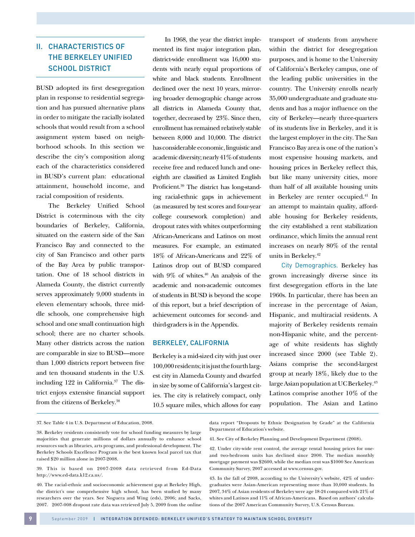# II. CHARACTERISTICS OF THE BERKELEY UNIFIED SCHOOL DISTRICT

BUSD adopted its first desegregation plan in response to residential segregation and has pursued alternative plans in order to mitigate the racially isolated schools that would result from a school assignment system based on neighborhood schools. In this section we describe the city's composition along each of the characteristics considered in BUSD's current plan: educational attainment, household income, and racial composition of residents.

The Berkeley Unified School District is coterminous with the city boundaries of Berkeley, California, situated on the eastern side of the San Francisco Bay and connected to the city of San Francisco and other parts of the Bay Area by public transportation. One of 18 school districts in Alameda County, the district currently serves approximately 9,000 students in eleven elementary schools, three middle schools, one comprehensive high school and one small continuation high school; there are no charter schools. Many other districts across the nation are comparable in size to BUSD—more than 1,000 districts report between five and ten thousand students in the U.S. including  $122$  in California.<sup>37</sup> The district enjoys extensive financial support from the citizens of Berkeley.<sup>38</sup>

In 1968, the year the district implemented its first major integration plan, district-wide enrollment was 16,000 students with nearly equal proportions of white and black students. Enrollment declined over the next 10 years, mirroring broader demographic change across all districts in Alameda County that, together, decreased by 23%. Since then, enrollment has remained relatively stable between 8,000 and 10,000. The district has considerable economic, linguistic and academic diversity; nearly 41% of students receive free and reduced lunch and oneeighth are classified as Limited English Proficient.39 The district has long-standing racial-ethnic gaps in achievement (as measured by test scores and four-year college coursework completion) and dropout rates with whites outperforming African-Americans and Latinos on most measures. For example, an estimated 18% of African-Americans and 22% of Latinos drop out of BUSD compared with  $9\%$  of whites.<sup>40</sup> An analysis of the academic and non-academic outcomes of students in BUSD is beyond the scope of this report, but a brief description of achievement outcomes for second- and third-graders is in the Appendix.

#### Berkeley, California

Berkeley is a mid-sized city with just over 100,000 residents; it is just the fourth largest city in Alameda County and dwarfed in size by some of California's largest cities. The city is relatively compact, only 10.5 square miles, which allows for easy

transport of students from anywhere within the district for desegregation purposes, and is home to the University of California's Berkeley campus, one of the leading public universities in the country. The University enrolls nearly 35,000 undergraduate and graduate students and has a major influence on the city of Berkeley—nearly three-quarters of its students live in Berkeley, and it is the largest employer in the city. The San Francisco Bay area is one of the nation's most expensive housing markets, and housing prices in Berkeley reflect this, but like many university cities, more than half of all available housing units in Berkeley are renter occupied.<sup>41</sup> In an attempt to maintain quality, affordable housing for Berkeley residents, the city established a rent stabilization ordinance, which limits the annual rent increases on nearly 80% of the rental units in Berkeley.<sup>42</sup>

City Demographics. Berkeley has grown increasingly diverse since its first desegregation efforts in the late 1960s. In particular, there has been an increase in the percentage of Asian, Hispanic, and multiracial residents. A majority of Berkeley residents remain non-Hispanic white, and the percentage of white residents has slightly increased since 2000 (see Table 2). Asians comprise the second-largest group at nearly 18%, likely due to the large Asian population at UC Berkeley.<sup>43</sup> Latinos comprise another 10% of the population. The Asian and Latino

37. See Table 4 in U.S. Department of Education, 2008.

data report "Dropouts by Ethnic Designation by Grade" at the California Department of Education's website.

<sup>38.</sup> Berkeley residents consistently vote for school funding measures by large majorities that generate millions of dollars annually to enhance school resources such as libraries, arts programs, and professional development. The Berkeley Schools Excellence Program is the best known local parcel tax that raised \$20 million alone in 2007-2008.

<sup>39.</sup> This is based on 2007-2008 data retrieved from Ed-Data http://www.ed-data.k12.ca.us/.

<sup>40.</sup> The racial-ethnic and socioeconomic achievement gap at Berkeley High, the district's one comprehensive high school, has been studied by many researchers over the years. See Noguera and Wing (eds), 2006; and Sacks, 2007. 2007-008 dropout rate data was retrieved July 5, 2009 from the online

<sup>41.</sup> See City of Berkeley Planning and Development Department (2008).

<sup>42.</sup> Under city-wide rent control, the average rental housing prices for oneand two-bedroom units has declined since 2000. The median monthly mortgage payment was \$2600, while the median rent was \$1000 See American Community Survey, 2007 accessed at www.census.gov.

<sup>43.</sup> In the fall of 2008, according to the University's website, 42% of undergraduates were Asian-American representing more than 10,000 students. In 2007, 34% of Asian residents of Berkeley were age 18-24 compared with 21% of whites and Latinos and 11% of African-Americans. Based on authors' calculations of the 2007 American Community Survey, U.S. Census Bureau.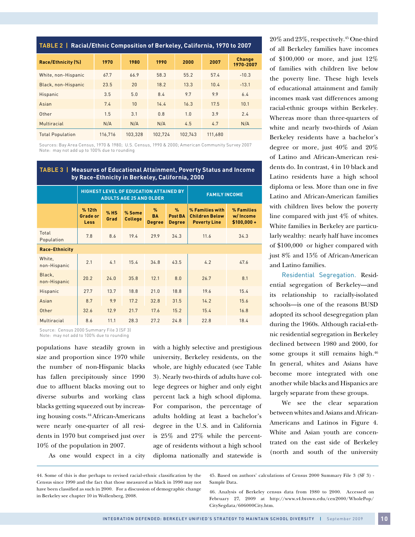| TABLE 2   Racial/Ethnic Composition of Berkeley, California, 1970 to 2007 |  |  |
|---------------------------------------------------------------------------|--|--|
|                                                                           |  |  |

| Race/Ethnicity (%)      | 1970    | 1980    | 1990    | 2000    | 2007    | <b>Change</b><br>1970-2007 |
|-------------------------|---------|---------|---------|---------|---------|----------------------------|
| White, non-Hispanic     | 67.7    | 66.9    | 58.3    | 55.2    | 57.4    | $-10.3$                    |
| Black, non-Hispanic     | 23.5    | 20      | 18.2    | 13.3    | 10.4    | $-13.1$                    |
| Hispanic                | 3.5     | 5.0     | 8.4     | 9.7     | 9.9     | 6.4                        |
| Asian                   | 7.4     | 10      | 14.4    | 16.3    | 17.5    | 10.1                       |
| Other                   | 1.5     | 3.1     | 0.8     | 1.0     | 3.9     | 2.4                        |
| Multiracial             | N/A     | N/A     | N/A     | 4.5     | 4.7     | N/A                        |
| <b>Total Population</b> | 116.716 | 103.328 | 102.724 | 102.743 | 111.680 |                            |

Sources: Bay Area Census, 1970 & 1980; U.S. Census, 1990 & 2000; American Community Survey 2007 Note: may not add up to 100% due to rounding

| <b>TABLE 3  </b><br><b>Measures of Educational Attainment, Poverty Status and Income</b><br>by Race-Ethnicity in Berkeley, California, 2000 |                                          |                |                                                                                 |                                             |                                           |                                                                 |                                         |  |  |
|---------------------------------------------------------------------------------------------------------------------------------------------|------------------------------------------|----------------|---------------------------------------------------------------------------------|---------------------------------------------|-------------------------------------------|-----------------------------------------------------------------|-----------------------------------------|--|--|
|                                                                                                                                             |                                          |                | <b>HIGHEST LEVEL OF EDUCATION ATTAINED BY</b><br><b>ADULTS AGE 25 AND OLDER</b> | <b>FAMILY INCOME</b>                        |                                           |                                                                 |                                         |  |  |
|                                                                                                                                             | % 12th<br><b>Grade or</b><br><b>Less</b> | $%$ HS<br>Grad | % Some<br><b>College</b>                                                        | $\frac{9}{6}$<br><b>BA</b><br><b>Degree</b> | $\frac{9}{6}$<br>Post BA<br><b>Degree</b> | % Families with<br><b>Children Below</b><br><b>Poverty Line</b> | % Families<br>w/ Income<br>$$100,000 +$ |  |  |
| Total<br>Population                                                                                                                         | 7.8                                      | 8.6            | 19.4                                                                            | 29.9                                        | 34.3                                      | 11.6                                                            | 34.3                                    |  |  |
| <b>Race-Ethnicity</b>                                                                                                                       |                                          |                |                                                                                 |                                             |                                           |                                                                 |                                         |  |  |
| White,<br>non-Hispanic                                                                                                                      | 2.1                                      | 4.1            | 15.4                                                                            | 34.8                                        | 43.5                                      | 4.2                                                             | 47.6                                    |  |  |
| Black,<br>non-Hispanic                                                                                                                      | 20.2                                     | 24.0           | 35.8                                                                            | 12.1                                        | 8.0                                       | 26.7                                                            | 8.1                                     |  |  |
| Hispanic                                                                                                                                    | 27.7                                     | 13.7           | 18.8                                                                            | 21.0                                        | 18.8                                      | 19.6                                                            | 15.4                                    |  |  |
| Asian                                                                                                                                       | 8.7                                      | 9.9            | 17.2                                                                            | 32.8                                        | 31.5                                      | 14.2                                                            | 15.6                                    |  |  |
| Other                                                                                                                                       | 32.6                                     | 12.9           | 21.7                                                                            | 17.6                                        | 15.2                                      | 15.4                                                            | 16.8                                    |  |  |
| Multiracial                                                                                                                                 | 8.6                                      | 11.1           | 28.3                                                                            | 27.2                                        | 24.8                                      | 22.8                                                            | 18.4                                    |  |  |

Source: Census 2000 Summary File 3 (SF 3) Note: may not add to 100% due to rounding

populations have steadily grown in size and proportion since 1970 while the number of non-Hispanic blacks has fallen precipitously since 1990 due to affluent blacks moving out to diverse suburbs and working class blacks getting squeezed out by increasing housing costs.44 African-Americans were nearly one-quarter of all residents in 1970 but comprised just over 10% of the population in 2007.

As one would expect in a city

with a highly selective and prestigious university, Berkeley residents, on the whole, are highly educated (see Table 3). Nearly two-thirds of adults have college degrees or higher and only eight percent lack a high school diploma. For comparison, the percentage of adults holding at least a bachelor's degree in the U.S. and in California is 25% and 27% while the percentage of residents without a high school diploma nationally and statewide is

20% and 23%, respectively.<sup>45</sup> One-third of all Berkeley families have incomes of \$100,000 or more, and just 12% of families with children live below the poverty line. These high levels of educational attainment and family incomes mask vast differences among racial-ethnic groups within Berkeley. Whereas more than three-quarters of white and nearly two-thirds of Asian Berkeley residents have a bachelor's degree or more, just 40% and 20% of Latino and African-American residents do. In contrast, 4 in 10 black and Latino residents have a high school diploma or less. More than one in five Latino and African-American families with children lives below the poverty line compared with just 4% of whites. White families in Berkeley are particularly wealthy: nearly half have incomes of \$100,000 or higher compared with just 8% and 15% of African-American and Latino families.

Residential Segregation. Residential segregation of Berkeley—and its relationship to racially-isolated schools—is one of the reasons BUSD adopted its school desegregation plan during the 1960s. Although racial-ethnic residential segregation in Berkeley declined between 1980 and 2000, for some groups it still remains high.<sup>46</sup> In general, whites and Asians have become more integrated with one another while blacks and Hispanics are largely separate from these groups.

We see the clear separation between whites and Asians and African-Americans and Latinos in Figure 4. White and Asian youth are concentrated on the east side of Berkeley (north and south of the university

<sup>44.</sup> Some of this is due perhaps to revised racial-ethnic classification by the Census since 1990 and the fact that those measured as black in 1990 may not have been classified as such in 2000. For a discussion of demographic change in Berkeley see chapter 10 in Wollenberg, 2008.

<sup>45.</sup> Based on authors' calculations of Census 2000 Summary File 3 (SF 3) - Sample Data.

<sup>46.</sup> Analysis of Berkeley census data from 1980 to 2000. Accessed on February 27, 2009 at http://www.s4.brown.edu/cen2000/WholePop/ CitySegdata/606000City.htm.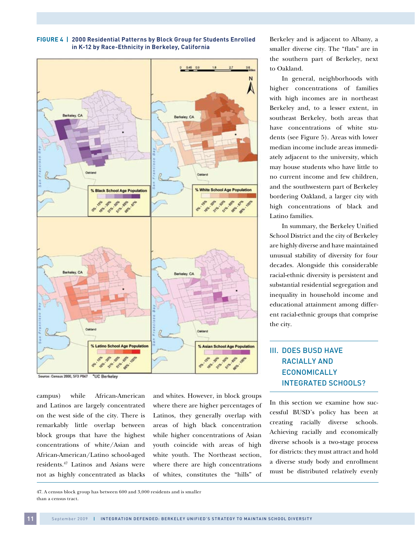

#### **Figure 4 | 2000 Residential Patterns by Block Group for Students Enrolled in K-12 by Race-Ethnicity in Berkeley, California**

Source: Census 2000, SF3 P047 **UC Berkeley** 

campus) while African-American and Latinos are largely concentrated on the west side of the city. There is remarkably little overlap between block groups that have the highest concentrations of white/Asian and African-American/Latino school-aged residents.47 Latinos and Asians were not as highly concentrated as blacks

and whites. However, in block groups where there are higher percentages of Latinos, they generally overlap with areas of high black concentration while higher concentrations of Asian youth coincide with areas of high white youth. The Northeast section, where there are high concentrations of whites, constitutes the "hills" of Berkeley and is adjacent to Albany, a smaller diverse city. The "flats" are in the southern part of Berkeley, next to Oakland.

In general, neighborhoods with higher concentrations of families with high incomes are in northeast Berkeley and, to a lesser extent, in southeast Berkeley, both areas that have concentrations of white students (see Figure 5). Areas with lower median income include areas immediately adjacent to the university, which may house students who have little to no current income and few children, and the southwestern part of Berkeley bordering Oakland, a larger city with high concentrations of black and Latino families.

In summary, the Berkeley Unified School District and the city of Berkeley are highly diverse and have maintained unusual stability of diversity for four decades. Alongside this considerable racial-ethnic diversity is persistent and substantial residential segregation and inequality in household income and educational attainment among different racial-ethnic groups that comprise the city.

# III. DOES BUSD HAVE RACIALLY AND ECONOMICALLY INTEGRATED SCHOOLS?

In this section we examine how successful BUSD's policy has been at creating racially diverse schools. Achieving racially and economically diverse schools is a two-stage process for districts: they must attract and hold a diverse study body and enrollment must be distributed relatively evenly

47. A census block group has between 600 and 3,000 residents and is smaller than a census tract.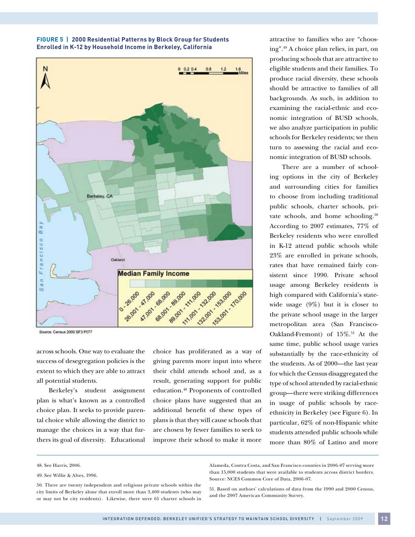



Source: Census 2000 SF3 P077

across schools. One way to evaluate the success of desegregation policies is the extent to which they are able to attract all potential students.

Berkeley's student assignment plan is what's known as a controlled choice plan. It seeks to provide parental choice while allowing the district to manage the choices in a way that furthers its goal of diversity. Educational

choice has proliferated as a way of giving parents more input into where their child attends school and, as a result, generating support for public education.48 Proponents of controlled choice plans have suggested that an additional benefit of these types of plans is that they will cause schools that are chosen by fewer families to seek to improve their school to make it more

attractive to families who are "choosing".49 A choice plan relies, in part, on producing schools that are attractive to eligible students and their families. To produce racial diversity, these schools should be attractive to families of all backgrounds. As such, in addition to examining the racial-ethnic and economic integration of BUSD schools, we also analyze participation in public schools for Berkeley residents; we then turn to assessing the racial and economic integration of BUSD schools.

There are a number of schooling options in the city of Berkeley and surrounding cities for families to choose from including traditional public schools, charter schools, private schools, and home schooling.<sup>50</sup> According to 2007 estimates, 77% of Berkeley residents who were enrolled in K-12 attend public schools while 23% are enrolled in private schools, rates that have remained fairly consistent since 1990. Private school usage among Berkeley residents is high compared with California's statewide usage (9%) but it is closer to the private school usage in the larger metropolitan area (San Francisco-Oakland-Fremont) of  $15\%$ .<sup>51</sup> At the same time, public school usage varies substantially by the race-ethnicity of the students. As of 2000—the last year for which the Census disaggregated the type of school attended by racial-ethnic group—there were striking differences in usage of public schools by raceethnicity in Berkeley (see Figure 6). In particular, 62% of non-Hispanic white students attended public schools while more than 80% of Latino and more

Alameda, Contra Costa, and San Francisco counties in 2006-07 serving more than 15,000 students that were available to students across district borders. Source: NCES Common Core of Data, 2006-07.

51. Based on authors' calculations of data from the 1990 and 2000 Census, and the 2007 American Community Survey.

<sup>48.</sup> See Harris, 2006.

<sup>49.</sup> See Willie & Alves, 1996.

<sup>50.</sup> There are twenty independent and religious private schools within the city limits of Berkeley alone that enroll more than 3,400 students (who may or may not be city residents). Likewise, there were 61 charter schools in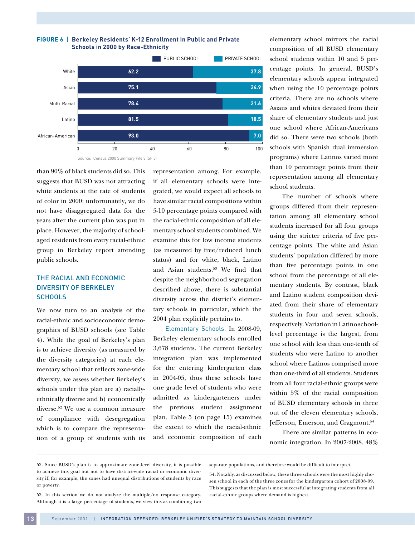

**Figure 6 | Berkeley Residents' K-12 Enrollment in Public and Private** 

than 90% of black students did so. This suggests that BUSD was not attracting white students at the rate of students of color in 2000; unfortunately, we do not have disaggregated data for the years after the current plan was put in place. However, the majority of schoolaged residents from every racial-ethnic group in Berkeley report attending public schools.

### The Racial and Economic Diversity of Berkeley **SCHOOLS**

We now turn to an analysis of the racial-ethnic and socioeconomic demographics of BUSD schools (see Table 4). While the goal of Berkeley's plan is to achieve diversity (as measured by the diversity categories) at each elementary school that reflects zone-wide diversity, we assess whether Berkeley's schools under this plan are a) raciallyethnically diverse and b) economically diverse.52 We use a common measure of compliance with desegregation which is to compare the representation of a group of students with its

**13**

representation among. For example, if all elementary schools were integrated, we would expect all schools to have similar racial compositions within 5-10 percentage points compared with the racial-ethnic composition of all elementary school students combined. We examine this for low income students (as measured by free/reduced lunch status) and for white, black, Latino and Asian students.53 We find that despite the neighborhood segregation described above, there is substantial diversity across the district's elementary schools in particular, which the 2004 plan explicitly pertains to.

Elementary Schools. In 2008-09, Berkeley elementary schools enrolled 3,678 students. The current Berkeley integration plan was implemented for the entering kindergarten class in 2004-05, thus these schools have one grade level of students who were admitted as kindergarteners under the previous student assignment plan. Table 5 (on page 15) examines the extent to which the racial-ethnic and economic composition of each elementary school mirrors the racial composition of all BUSD elementary school students within 10 and 5 percentage points. In general, BUSD's elementary schools appear integrated when using the 10 percentage points criteria. There are no schools where Asians and whites deviated from their share of elementary students and just one school where African-Americans did so. There were two schools (both schools with Spanish dual immersion programs) where Latinos varied more than 10 percentage points from their representation among all elementary school students.

The number of schools where groups differed from their representation among all elementary school students increased for all four groups using the stricter criteria of five percentage points. The white and Asian students' population differed by more than five percentage points in one school from the percentage of all elementary students. By contrast, black and Latino student composition deviated from their share of elementary students in four and seven schools, respectively. Variation in Latino schoollevel percentage is the largest, from one school with less than one-tenth of students who were Latino to another school where Latinos comprised more than one-third of all students. Students from all four racial-ethnic groups were within 5% of the racial composition of BUSD elementary schools in three out of the eleven elementary schools, Jefferson, Emerson, and Cragmont.<sup>54</sup>

There are similar patterns in economic integration. In 2007-2008, 48%

52. Since BUSD's plan is to approximate zone-level diversity, it is possible to achieve this goal but not to have district-wide racial or economic diversity if, for example, the zones had unequal distributions of students by race or poverty.

separate populations, and therefore would be difficult to interpret.

53. In this section we do not analyze the multiple/no response category. Although it is a large percentage of students, we view this as combining two

<sup>54.</sup> Notably, as discussed below, these three schools were the most highly chosen school in each of the three zones for the kindergarten cohort of 2008-09. This suggests that the plan is most successful at integrating students from all racial-ethnic groups where demand is highest.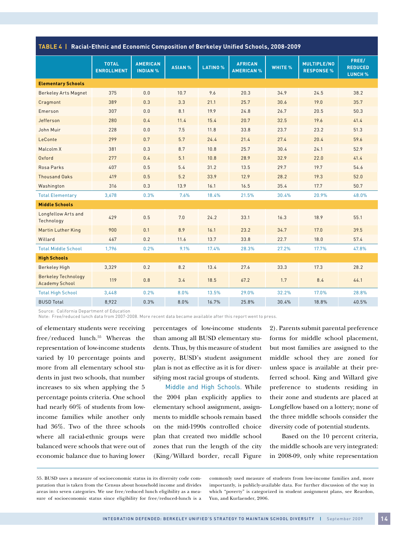**Table 4 | Racial-Ethnic and Economic Composition of Berkeley Unified Schools, 2008-2009**

|                                                     | <b>TOTAL</b><br><b>ENROLLMENT</b> | <b>AMERICAN</b><br><b>INDIAN %</b> | <b>ASIAN %</b> | <b>LATINO %</b> | <b>AFRICAN</b><br><b>AMERICAN %</b> | WHITE % | MULTIPLE/NO<br><b>RESPONSE %</b> | FREE/<br><b>REDUCED</b> |
|-----------------------------------------------------|-----------------------------------|------------------------------------|----------------|-----------------|-------------------------------------|---------|----------------------------------|-------------------------|
|                                                     |                                   |                                    |                |                 |                                     |         |                                  | <b>LUNCH %</b>          |
| <b>Elementary Schools</b>                           |                                   |                                    |                |                 |                                     |         |                                  |                         |
| <b>Berkeley Arts Magnet</b>                         | 375                               | 0.0                                | 10.7           | 9.6             | 20.3                                | 34.9    | 24.5                             | 38.2                    |
| Cragmont                                            | 389                               | 0.3                                | 3.3            | 21.1            | 25.7                                | 30.6    | 19.0                             | 35.7                    |
| Emerson                                             | 307                               | 0.0                                | 8.1            | 19.9            | 24.8                                | 26.7    | 20.5                             | 50.3                    |
| Jefferson                                           | 280                               | 0.4                                | 11.4           | 15.4            | 20.7                                | 32.5    | 19.6                             | 41.4                    |
| John Muir                                           | 228                               | 0.0                                | 7.5            | 11.8            | 33.8                                | 23.7    | 23.2                             | 51.3                    |
| LeConte                                             | 299                               | 0.7                                | 5.7            | 24.4            | 21.4                                | 27.4    | 20.4                             | 59.6                    |
| Malcolm X                                           | 381                               | 0.3                                | 8.7            | 10.8            | 25.7                                | 30.4    | 24.1                             | 52.9                    |
| Oxford                                              | 277                               | 0.4                                | 5.1            | 10.8            | 28.9                                | 32.9    | 22.0                             | 41.4                    |
| Rosa Parks                                          | 407                               | 0.5                                | 5.4            | 31.2            | 13.5                                | 29.7    | 19.7                             | 54.6                    |
| <b>Thousand Oaks</b>                                | 419                               | 0.5                                | 5.2            | 33.9            | 12.9                                | 28.2    | 19.3                             | 52.0                    |
| Washington                                          | 316                               | 0.3                                | 13.9           | 16.1            | 16.5                                | 35.4    | 17.7                             | 50.7                    |
| <b>Total Elementary</b>                             | 3,678                             | 0.3%                               | 7.6%           | 18.4%           | 21.5%                               | 30.4%   | 20.9%                            | 48.0%                   |
| <b>Middle Schools</b>                               |                                   |                                    |                |                 |                                     |         |                                  |                         |
| Longfellow Arts and<br>Technology                   | 429                               | 0.5                                | 7.0            | 24.2            | 33.1                                | 16.3    | 18.9                             | 55.1                    |
| <b>Martin Luther King</b>                           | 900                               | 0.1                                | 8.9            | 16.1            | 23.2                                | 34.7    | 17.0                             | 39.5                    |
| Willard                                             | 467                               | 0.2                                | 11.6           | 13.7            | 33.8                                | 22.7    | 18.0                             | 57.4                    |
| <b>Total Middle School</b>                          | 1,796                             | 0.2%                               | 9.1%           | 17.4%           | 28.3%                               | 27.2%   | 17.7%                            | 47.8%                   |
| <b>High Schools</b>                                 |                                   |                                    |                |                 |                                     |         |                                  |                         |
| <b>Berkeley High</b>                                | 3,329                             | 0.2                                | 8.2            | 13.4            | 27.6                                | 33.3    | 17.3                             | 28.2                    |
| <b>Berkeley Technology</b><br><b>Academy School</b> | 119                               | 0.8                                | 3.4            | 18.5            | 67.2                                | 1.7     | 8.4                              | 44.1                    |
| <b>Total High School</b>                            | 3,448                             | 0.2%                               | 8.0%           | 13.5%           | 29.0%                               | 32.2%   | 17.0%                            | 28.8%                   |
| <b>BUSD Total</b>                                   | 8,922                             | 0.3%                               | 8.0%           | 16.7%           | 25.8%                               | 30.4%   | 18.8%                            | 40.5%                   |

Source: California Department of Education

Note: Free/reduced lunch data from 2007-2008. More recent data became available after this report went to press.

of elementary students were receiving free/reduced lunch.<sup>55</sup> Whereas the representation of low-income students varied by 10 percentage points and more from all elementary school students in just two schools, that number increases to six when applying the 5 percentage points criteria. One school had nearly 60% of students from lowincome families while another only had 36%. Two of the three schools where all racial-ethnic groups were balanced were schools that were out of economic balance due to having lower

percentages of low-income students than among all BUSD elementary students. Thus, by this measure of student poverty, BUSD's student assignment plan is not as effective as it is for diversifying most racial groups of students.

Middle and High Schools. While the 2004 plan explicitly applies to elementary school assignment, assignments to middle schools remain based on the mid-1990s controlled choice plan that created two middle school zones that run the length of the city (King/Willard border, recall Figure 2). Parents submit parental preference forms for middle school placement, but most families are assigned to the middle school they are zoned for unless space is available at their preferred school. King and Willard give preference to students residing in their zone and students are placed at Longfellow based on a lottery; none of the three middle schools consider the diversity code of potential students.

Based on the 10 percent criteria, the middle schools are very integrated: in 2008-09, only white representation

commonly used measure of students from low-income families and, more importantly, is publicly-available data. For further discussion of the way in which "poverty" is categorized in student assignment plans, see Reardon, Yun, and Kurlaender, 2006.

<sup>55.</sup> BUSD uses a measure of socioeconomic status in its diversity code computation that is taken from the Census about household income and divides areas into seven categories. We use free/reduced lunch eligibility as a measure of socioeconomic status since eligibility for free/reduced-lunch is a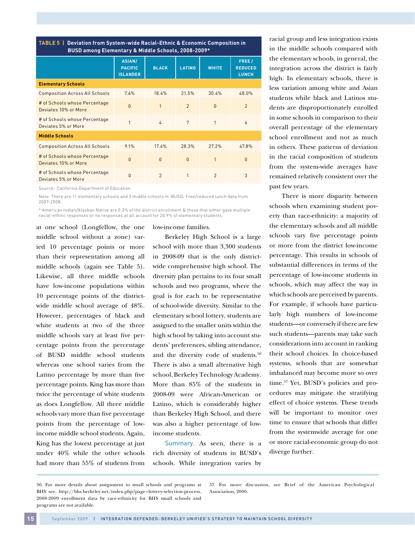**Table 5 | Deviation from System-wide Racial-Ethnic & Economic Composition in BUSD among Elementary & Middle Schools, 2008-2009\*** 

|                                                       | <b>ASIAN/</b><br><b>PACIFIC</b><br><b>ISLANDER</b> | <b>BLACK</b>   | <b>LATINO</b>  | <b>WHITE</b>   | FREE/<br><b>REDUCED</b><br><b>LUNCH</b> |
|-------------------------------------------------------|----------------------------------------------------|----------------|----------------|----------------|-----------------------------------------|
| <b>Elementary Schools</b>                             |                                                    |                |                |                |                                         |
|                                                       |                                                    |                |                |                |                                         |
| <b>Composition Across All Schools</b>                 | 7.6%                                               | 18.4%          | 21.5%          | 30.4%          | 48.0%                                   |
| # of Schools whose Percentage<br>Deviates 10% or More | $\overline{0}$                                     | $\mathbf{1}$   | $\overline{2}$ | $\Omega$       | $\overline{2}$                          |
| # of Schools whose Percentage<br>Deviates 5% or More  | 1                                                  | $\Delta$       | 7              | 1              | 6                                       |
| <b>Middle Schools</b>                                 |                                                    |                |                |                |                                         |
| <b>Composition Across All Schools</b>                 | 9.1%                                               | 17.4%          | 28.3%          | 27.2%          | 47.8%                                   |
| # of Schools whose Percentage<br>Deviates 10% or More | $\overline{0}$                                     | $\mathbf{0}$   | $\mathbf{0}$   |                | $\mathbf{0}$                            |
| # of Schools whose Percentage<br>Deviates 5% or More  | $\overline{0}$                                     | $\mathfrak{p}$ | 1              | $\mathfrak{p}$ | 3                                       |
|                                                       |                                                    |                |                |                |                                         |

Source: California Department of Education

Note: There are 11 elementary schools and 3 middle schools in BUSD; Free/reduced lunch data from 2007-2008.

\* American Indian/Alaskan Native are 0.3% of the district enrollment & those that either gave multiple racial-ethnic responses or no responses at all account for 20.9% of elementary students.

at one school (Longfellow, the one middle school without a zone) varied 10 percentage points or more than their representation among all middle schools (again see Table 5). Likewise, all three middle schools have low-income populations within 10 percentage points of the districtwide middle school average of 48%. However, percentages of black and white students at two of the three middle schools vary at least five percentage points from the percentage of BUSD middle school students whereas one school varies from the Latino percentage by more than five percentage points. King has more than twice the percentage of white students as does Longfellow. All three middle schools vary more than five percentage points from the percentage of lowincome middle school students. Again, King has the lowest percentage at just under 40% while the other schools had more than 55% of students from low-income families.

Berkeley High School is a large school with more than 3,300 students in 2008-09 that is the only districtwide comprehensive high school. The diversity plan pertains to its four small schools and two programs, where the goal is for each to be representative of school-wide diversity. Similar to the elementary school lottery, students are assigned to the smaller units within the high school by taking into account students' preferences, sibling attendance, and the diversity code of students.<sup>56</sup> There is also a small alternative high school, Berkeley Technology Academy. More than 85% of the students in 2008-09 were African-American or Latino, which is considerably higher than Berkeley High School, and there was also a higher percentage of lowincome students.

Summary. As seen, there is a rich diversity of students in BUSD's schools. While integration varies by racial group and less integration exists in the middle schools compared with the elementary schools, in general, the integration across the district is fairly high. In elementary schools, there is less variation among white and Asian students while black and Latinos students are disproportionately enrolled in some schools in comparison to their overall percentage of the elementary school enrollment and not as much in others. These patterns of deviation in the racial composition of students from the system-wide averages have remained relatively consistent over the past few years.

There is more disparity between schools when examining student poverty than race-ethnicity: a majority of the elementary schools and all middle schools vary five percentage points or more from the district low-income percentage. This results in schools of substantial differences in terms of the percentage of low-income students in schools, which may affect the way in which schools are perceived by parents. For example, if schools have particularly high numbers of low-income students—or conversely if there are few such students—parents may take such considerations into account in ranking their school choices. In choice-based systems, schools that are somewhat imbalanced may become more so over time.57 Yet, BUSD's policies and procedures may mitigate the stratifying effect of choice systems. These trends will be important to monitor over time to ensure that schools that differ from the systemwide average for one or more racial-economic group do not diverge further.

57. For more discussion, see Brief of the American Psychological Association, 2006.

<sup>56.</sup> For more details about assignment to small schools and programs at BHS see, http://bhs.berkeley.net/index.php?page=lottery-selection-process. 2008-2009 enrollment data by race-ethnicity for BHS small schools and programs are not available.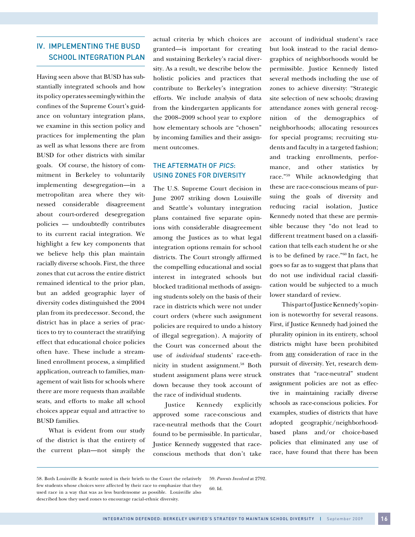# IV. IMPLEMENTING THE BUSD SCHOOL INTEGRATION PLAN

Having seen above that BUSD has substantially integrated schools and how its policy operates seemingly within the confines of the Supreme Court's guidance on voluntary integration plans, we examine in this section policy and practices for implementing the plan as well as what lessons there are from BUSD for other districts with similar goals. Of course, the history of commitment in Berkeley to voluntarily implementing desegregation—in a metropolitan area where they witnessed considerable disagreement about court-ordered desegregation policies — undoubtedly contributes to its current racial integration. We highlight a few key components that we believe help this plan maintain racially diverse schools. First, the three zones that cut across the entire district remained identical to the prior plan, but an added geographic layer of diversity codes distinguished the 2004 plan from its predecessor. Second, the district has in place a series of practices to try to counteract the stratifying effect that educational choice policies often have. These include a streamlined enrollment process, a simplified application, outreach to families, management of wait lists for schools where there are more requests than available seats, and efforts to make all school choices appear equal and attractive to BUSD families.

What is evident from our study of the district is that the entirety of the current plan—not simply the

actual criteria by which choices are granted—is important for creating and sustaining Berkeley's racial diversity. As a result, we describe below the holistic policies and practices that contribute to Berkeley's integration efforts. We include analysis of data from the kindergarten applicants for the 2008–2009 school year to explore how elementary schools are "chosen" by incoming families and their assignment outcomes.

#### THE AFTERMATH OF PICS: Using Zones for Diversity

The U.S. Supreme Court decision in June 2007 striking down Louisville and Seattle's voluntary integration plans contained five separate opinions with considerable disagreement among the Justices as to what legal integration options remain for school districts. The Court strongly affirmed the compelling educational and social interest in integrated schools but blocked traditional methods of assigning students solely on the basis of their race in districts which were not under court orders (where such assignment policies are required to undo a history of illegal segregation). A majority of the Court was concerned about the use of *individual* students' race-ethnicity in student assignment.<sup>58</sup> Both student assignment plans were struck down because they took account of the race of individual students.

Justice Kennedy explicitly approved some race-conscious and race-neutral methods that the Court found to be permissible. In particular, Justice Kennedy suggested that raceconscious methods that don't take account of individual student's race but look instead to the racial demographics of neighborhoods would be permissible. Justice Kennedy listed several methods including the use of zones to achieve diversity: "Strategic site selection of new schools; drawing attendance zones with general recognition of the demographics of neighborhoods; allocating resources for special programs; recruiting students and faculty in a targeted fashion; and tracking enrollments, performance, and other statistics by race."59 While acknowledging that these are race-conscious means of pursuing the goals of diversity and reducing racial isolation, Justice Kennedy noted that these are permissible because they "do not lead to different treatment based on a classification that tells each student he or she is to be defined by race."60 In fact, he goes so far as to suggest that plans that do not use individual racial classification would be subjected to a much lower standard of review.

This part of Justice Kennedy's opinion is noteworthy for several reasons. First, if Justice Kennedy had joined the plurality opinion in its entirety, school districts might have been prohibited from any consideration of race in the pursuit of diversity. Yet, research demonstrates that "race-neutral" student assignment policies are not as effective in maintaining racially diverse schools as race-conscious policies. For examples, studies of districts that have adopted geographic/neighborhoodbased plans and/or choice-based policies that eliminated any use of race, have found that there has been

59. *Parents Involved* at 2792.

<sup>58.</sup> Both Louisville & Seattle noted in their briefs to the Court the relatively few students whose choices were affected by their race to emphasize that they used race in a way that was as less burdensome as possible. Louisville also described how they used zones to encourage racial-ethnic diversity.

<sup>60.</sup> Id.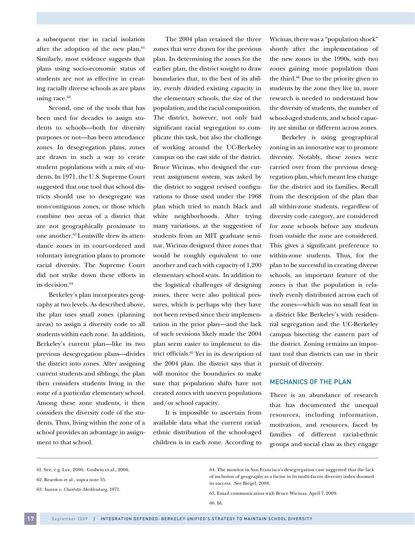a subsequent rise in racial isolation after the adoption of the new plan.<sup>61</sup> Similarly, most evidence suggests that plans using socio-economic status of students are not as effective in creating racially diverse schools as are plans using race.<sup>62</sup>

Second, one of the tools that has been used for decades to assign students to schools—both for diversity purposes or not—has been attendance zones. In desegregation plans, zones are drawn in such a way to create student populations with a mix of students. In 1971, the U.S. Supreme Court suggested that one tool that school districts should use to desegregate was non-contiguous zones, or those which combine two areas of a district that are not geographically proximate to one another.63 Louisville drew its attendance zones in its court-ordered and voluntary integration plans to promote racial diversity. The Supreme Court did not strike down these efforts in its decision.<sup>64</sup>

Berkeley's plan incorporates geography at two levels. As described above, the plan uses small zones (planning areas) to assign a diversity code to all students within each zone. In addition, Berkeley's current plan—like its two previous desegregation plans—divides the district into zones. After assigning current students and siblings, the plan then considers students living in the zone of a particular elementary school. Among these zone students, it then considers the diversity code of the students. Thus, living within the zone of a school provides an advantage in assignment to that school.

The 2004 plan retained the three zones that were drawn for the previous plan. In determining the zones for the earlier plan, the district sought to draw boundaries that, to the best of its ability, evenly divided existing capacity in the elementary schools, the size of the population, and the racial composition. The district, however, not only had significant racial segregation to complicate this task, but also the challenge of working around the UC-Berkeley campus on the east side of the district. Bruce Wicinas, who designed the current assignment system, was asked by the district to suggest revised configurations to those used under the 1968 plan which tried to match black and white neighborhoods. After trying many variations, at the suggestion of students from an MIT graduate seminar, Wicinas designed three zones that would be roughly equivalent to one another and each with capacity of 1,200 elementary school seats. In addition to the logistical challenges of designing zones, there were also political pressures, which is perhaps why they have not been revised since their implementation in the prior plan—and the lack of such revisions likely made the 2004 plan seem easier to implement to district officials.65 Yet in its description of the 2004 plan, the district says that it will monitor the boundaries to make sure that population shifts have not created zones with uneven populations and/or school capacity.

It is impossible to ascertain from available data what the current racialethnic distribution of the school-aged children is in each zone. According to

Wicinas, there was a "population shock" shortly after the implementation of the new zones in the 1990s, with two zones gaining more population than the third.66 Due to the priority given to students by the zone they live in, more research is needed to understand how the diversity of students, the number of school-aged students, and school capacity are similar or different across zones.

Berkeley is using geographical zoning in an innovative way to promote diversity. Notably, these zones were carried over from the previous desegregation plan, which meant less change for the district and its families. Recall from the description of the plan that all within-zone students, regardless of diversity code category, are considered for zone schools before any students from outside the zone are considered. This gives a significant preference to within-zone students. Thus, for the plan to be successful in creating diverse schools, an important feature of the zones is that the population is relatively evenly distributed across each of the zones—which was no small feat in a district like Berkeley's with residential segregation and the UC-Berkeley campus bisecting the eastern part of the district. Zoning remains an important tool that districts can use in their pursuit of diversity.

#### Mechanics of the Plan

There is an abundance of research that has documented the unequal resources, including information, motivation, and resources, faced by families of different racial-ethnic groups and social class as they engage

<sup>61.</sup> See, e.g. Lee, 2006; Godwin et al., 2006.

<sup>62.</sup> Reardon et al., supra note 55.

<sup>63.</sup> *Swann v. Charlotte-Mecklenburg,* 1971.

<sup>64.</sup> The monitor in San Francisco's desegregation case suggested that the lack of inclusion of geography as a factor in its multi-factor diversity index doomed its success. See Biegel, 2008.

<sup>65.</sup> Email communication with Bruce Wicinas, April 7, 2009.

<sup>66.</sup> Id.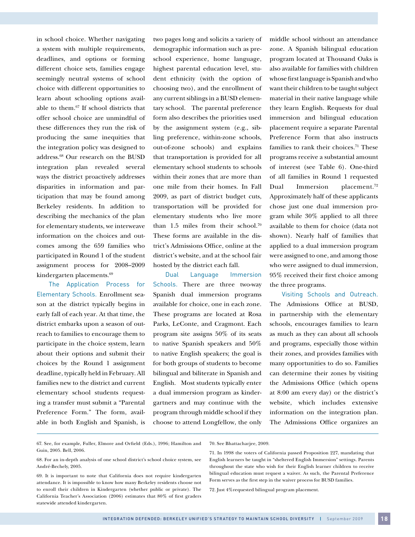in school choice. Whether navigating a system with multiple requirements, deadlines, and options or forming different choice sets, families engage seemingly neutral systems of school choice with different opportunities to learn about schooling options available to them.67 If school districts that offer school choice are unmindful of these differences they run the risk of producing the same inequities that the integration policy was designed to address.68 Our research on the BUSD integration plan revealed several ways the district proactively addresses disparities in information and participation that may be found among Berkeley residents. In addition to describing the mechanics of the plan for elementary students, we interweave information on the choices and outcomes among the 659 families who participated in Round 1 of the student assignment process for 2008–2009 kindergarten placements.69

The Application Process for Elementary Schools. Enrollment season at the district typically begins in early fall of each year. At that time, the district embarks upon a season of outreach to families to encourage them to participate in the choice system, learn about their options and submit their choices by the Round 1 assignment deadline, typically held in February. All families new to the district and current elementary school students requesting a transfer must submit a "Parental Preference Form." The form, available in both English and Spanish, is two pages long and solicits a variety of demographic information such as preschool experience, home language, highest parental education level, student ethnicity (with the option of choosing two), and the enrollment of any current siblings in a BUSD elementary school. The parental preference form also describes the priorities used by the assignment system (e.g., sibling preference, within-zone schools, out-of-zone schools) and explains that transportation is provided for all elementary school students to schools within their zones that are more than one mile from their homes. In Fall 2009, as part of district budget cuts, transportation will be provided for elementary students who live more than  $1.5$  miles from their school.<sup>70</sup> These forms are available in the district's Admissions Office, online at the district's website, and at the school fair hosted by the district each fall.

Dual Language Immersion Schools. There are three two-way Spanish dual immersion programs available for choice, one in each zone. These programs are located at Rosa Parks, LeConte, and Cragmont. Each program site assigns 50% of its seats to native Spanish speakers and 50% to native English speakers; the goal is for both groups of students to become bilingual and biliterate in Spanish and English. Most students typically enter a dual immersion program as kindergartners and may continue with the program through middle school if they choose to attend Longfellow, the only middle school without an attendance zone. A Spanish bilingual education program located at Thousand Oaks is also available for families with children whose first language is Spanish and who want their children to be taught subject material in their native language while they learn English. Requests for dual immersion and bilingual education placement require a separate Parental Preference Form that also instructs families to rank their choices.<sup>71</sup> These programs receive a substantial amount of interest (see Table 6). One-third of all families in Round 1 requested Dual Immersion placement.72 Approximately half of these applicants chose just one dual immersion program while 30% applied to all three available to them for choice (data not shown). Nearly half of families that applied to a dual immersion program were assigned to one, and among those who were assigned to dual immersion, 95% received their first choice among the three programs.

Visiting Schools and Outreach. The Admissions Office at BUSD, in partnership with the elementary schools, encourages families to learn as much as they can about all schools and programs, especially those within their zones, and provides families with many opportunities to do so. Families can determine their zones by visiting the Admissions Office (which opens at 8:00 am every day) or the district's website, which includes extensive information on the integration plan. The Admissions Office organizes an

67. See, for example, Fuller, Elmore and Orfield (Eds.), 1996; Hamilton and Guin, 2005. Bell, 2006.

72. Just 4%requested bilingual program placement.

<sup>68.</sup> For an in-depth analysis of one school district's school choice system, see André-Bechely, 2005.

<sup>69.</sup> It is important to note that California does not require kindergarten attendance. It is impossible to know how many Berkeley residents choose not to enroll their children in Kindergarten (whether public or private). The California Teacher's Association (2006) estimates that 80% of first graders statewide attended kindergarten.

<sup>70.</sup> See Bhattacharjee, 2009.

<sup>71.</sup> In 1998 the voters of California passed Proposition 227, mandating that English learners be taught in "sheltered English Immersion" settings. Parents throughout the state who wish for their English learner children to receive bilingual education must request a waiver. As such, the Parental Preference Form serves as the first step in the waiver process for BUSD families.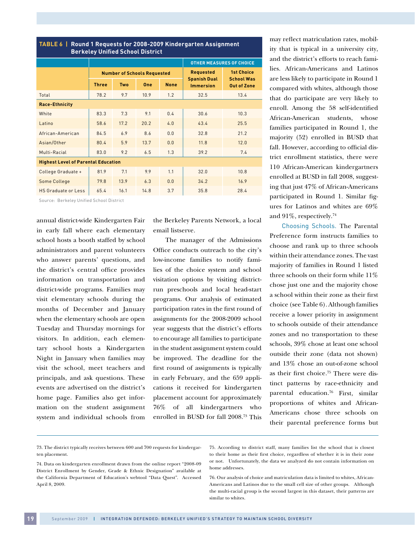| <b>Berkeley Unified School District</b>    |              |            |                                    |                                 |                                         |                                         |  |  |  |
|--------------------------------------------|--------------|------------|------------------------------------|---------------------------------|-----------------------------------------|-----------------------------------------|--|--|--|
|                                            |              |            |                                    | <b>OTHER MEASURES OF CHOICE</b> |                                         |                                         |  |  |  |
|                                            |              |            | <b>Number of Schools Requested</b> |                                 | <b>Requested</b>                        | <b>1st Choice</b>                       |  |  |  |
|                                            | <b>Three</b> | <b>Two</b> | One                                | <b>None</b>                     | <b>Spanish Dual</b><br><b>Immersion</b> | <b>School Was</b><br><b>Out of Zone</b> |  |  |  |
| Total                                      | 78.2         | 9.7        | 10.9                               | 1.2                             | 32.5                                    | 13.4                                    |  |  |  |
| <b>Race-Ethnicity</b>                      |              |            |                                    |                                 |                                         |                                         |  |  |  |
| White                                      | 83.3         | 7.3        | 9.1                                | 0.4                             | 30.6                                    | 10.3                                    |  |  |  |
| Latino                                     | 58.6         | 17.2       | 20.2                               | 4.0                             | 43.4                                    | 25.5                                    |  |  |  |
| African-American                           | 84.5         | 6.9        | 8.6                                | 0.0                             | 32.8                                    | 21.2                                    |  |  |  |
| Asian/Other                                | 80.4         | 5.9        | 13.7                               | 0.0                             | 11.8                                    | 12.0                                    |  |  |  |
| Multi-Racial                               | 83.0         | 9.2        | 6.5                                | 1.3                             | 39.2                                    | 7.4                                     |  |  |  |
| <b>Highest Level of Parental Education</b> |              |            |                                    |                                 |                                         |                                         |  |  |  |
| College Graduate +                         | 81.9         | 7.1        | 9.9                                | 1.1                             | 32.0                                    | 10.8                                    |  |  |  |
| Some College                               | 79.8         | 13.9       | 6.3                                | 0.0                             | 34.2                                    | 16.9                                    |  |  |  |
| <b>HS Graduate or Less</b>                 | 65.4         | 16.1       | 14.8                               | 3.7                             | 35.8                                    | 28.4                                    |  |  |  |

**Table 6 | Round 1 Requests for 2008-2009 Kindergarten Assignment**

Source: Berkeley Unified School District

annual district-wide Kindergarten Fair in early fall where each elementary school hosts a booth staffed by school administrators and parent volunteers who answer parents' questions, and the district's central office provides information on transportation and district-wide programs. Families may visit elementary schools during the months of December and January when the elementary schools are open Tuesday and Thursday mornings for visitors. In addition, each elementary school hosts a Kindergarten Night in January when families may visit the school, meet teachers and principals, and ask questions. These events are advertised on the district's home page. Families also get information on the student assignment system and individual schools from

the Berkeley Parents Network, a local email listserve.

The manager of the Admissions Office conducts outreach to the city's low-income families to notify families of the choice system and school visitation options by visiting districtrun preschools and local head-start programs. Our analysis of estimated participation rates in the first round of assignments for the 2008-2009 school year suggests that the district's efforts to encourage all families to participate in the student assignment system could be improved. The deadline for the first round of assignments is typically in early February, and the 659 applications it received for kindergarten placement account for approximately 76% of all kindergartners who enrolled in BUSD for fall 2008.73 This

may reflect matriculation rates, mobility that is typical in a university city, and the district's efforts to reach families. African-Americans and Latinos are less likely to participate in Round 1 compared with whites, although those that do participate are very likely to enroll. Among the 58 self-identified African-American students, whose families participated in Round 1, the majority (52) enrolled in BUSD that fall. However, according to official district enrollment statistics, there were 110 African-American kindergartners enrolled at BUSD in fall 2008, suggesting that just 47% of African-Americans participated in Round 1. Similar figures for Latinos and whites are 69% and 91%, respectively.<sup>74</sup>

Choosing Schools. The Parental Preference form instructs families to choose and rank up to three schools within their attendance zones. The vast majority of families in Round 1 listed three schools on their form while 11% chose just one and the majority chose a school within their zone as their first choice (see Table 6). Although families receive a lower priority in assignment to schools outside of their attendance zones and no transportation to these schools, 39% chose at least one school outside their zone (data not shown) and 13% chose an out-of-zone school as their first choice.75 There were distinct patterns by race-ethnicity and parental education.76 First, similar proportions of whites and African-Americans chose three schools on their parental preference forms but

<sup>73.</sup> The district typically receives between 600 and 700 requests for kindergarten placement.

<sup>74.</sup> Data on kindergarten enrollment drawn from the online report "2008-09 District Enrollment by Gender, Grade & Ethnic Designation" available at the California Department of Education's webtool "Data Quest". Accessed April 8, 2009.

<sup>75.</sup> According to district staff, many families list the school that is closest to their home as their first choice, regardless of whether it is in their zone or not. Unfortunately, the data we analyzed do not contain information on home addresses.

<sup>76.</sup> Our analysis of choice and matriculation data is limited to whites, African-Americans and Latinos due to the small cell size of other groups. Although the multi-racial group is the second largest in this dataset, their patterns are similar to whites.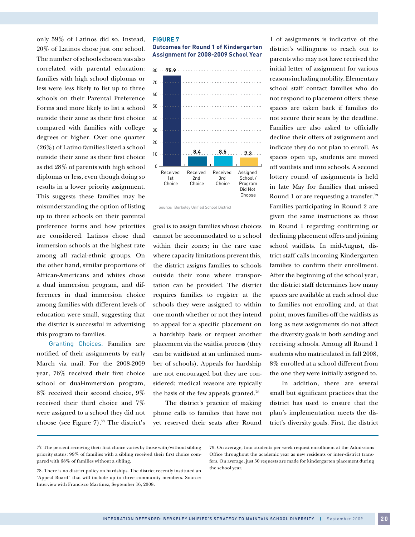only 59% of Latinos did so. Instead, 20% of Latinos chose just one school. The number of schools chosen was also correlated with parental education: families with high school diplomas or less were less likely to list up to three schools on their Parental Preference Forms and more likely to list a school outside their zone as their first choice compared with families with college degrees or higher. Over one quarter (26%) of Latino families listed a school outside their zone as their first choice as did 28% of parents with high school diplomas or less, even though doing so results in a lower priority assignment. This suggests these families may be misunderstanding the option of listing up to three schools on their parental preference forms and how priorities are considered. Latinos chose dual immersion schools at the highest rate among all racial-ethnic groups. On the other hand, similar proportions of African-Americans and whites chose a dual immersion program, and differences in dual immersion choice among families with different levels of education were small, suggesting that the district is successful in advertising this program to families.

Granting Choices. Families are notified of their assignments by early March via mail. For the 2008-2009 year, 76% received their first choice school or dual-immersion program, 8% received their second choice, 9% received their third choice and 7% were assigned to a school they did not choose (see Figure 7).77 The district's

# **Figure 7**

**Outcomes for Round 1 of Kindergarten Assignment for 2008-2009 School Year**



Source: Berkeley Unified School District

goal is to assign families whose choices cannot be accommodated to a school within their zones; in the rare case where capacity limitations prevent this, the district assigns families to schools outside their zone where transportation can be provided. The district requires families to register at the schools they were assigned to within one month whether or not they intend to appeal for a specific placement on a hardship basis or request another placement via the waitlist process (they can be waitlisted at an unlimited number of schools). Appeals for hardship are not encouraged but they are considered; medical reasons are typically the basis of the few appeals granted.78

The district's practice of making phone calls to families that have not yet reserved their seats after Round 1 of assignments is indicative of the district's willingness to reach out to parents who may not have received the initial letter of assignment for various reasons including mobility. Elementary school staff contact families who do not respond to placement offers; these spaces are taken back if families do not secure their seats by the deadline. Families are also asked to officially decline their offers of assignment and indicate they do not plan to enroll. As spaces open up, students are moved off waitlists and into schools. A second lottery round of assignments is held in late May for families that missed Round 1 or are requesting a transfer.79 Families participating in Round 2 are given the same instructions as those in Round 1 regarding confirming or declining placement offers and joining school waitlists. In mid-August, district staff calls incoming Kindergarten families to confirm their enrollment. After the beginning of the school year, the district staff determines how many spaces are available at each school due to families not enrolling and, at that point, moves families off the waitlists as long as new assignments do not affect the diversity goals in both sending and receiving schools. Among all Round 1 students who matriculated in fall 2008, 8% enrolled at a school different from the one they were initially assigned to.

In addition, there are several small but significant practices that the district has used to ensure that the plan's implementation meets the district's diversity goals. First, the district

<sup>77.</sup> The percent receiving their first choice varies by those with/without sibling priority status: 99% of families with a sibling received their first choice compared with 68% of families without a sibling.

<sup>78.</sup> There is no district policy on hardships. The district recently instituted an "Appeal Board" that will include up to three community members. Source: Interview with Francisco Martinez, September 16, 2008.

<sup>79.</sup> On average, four students per week request enrollment at the Admissions Office throughout the academic year as new residents or inter-district transfers. On average, just 30 requests are made for kindergarten placement during the school year.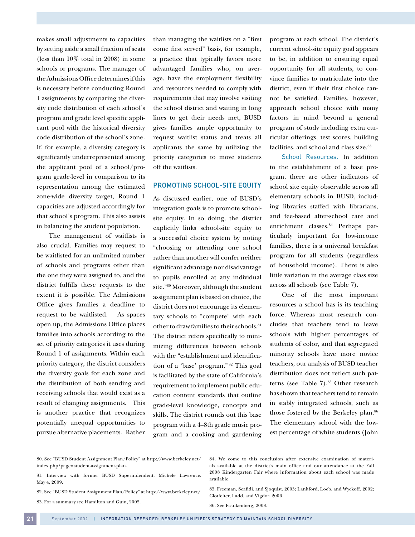makes small adjustments to capacities by setting aside a small fraction of seats (less than 10% total in 2008) in some schools or programs. The manager of the Admissions Office determines if this is necessary before conducting Round 1 assignments by comparing the diversity code distribution of each school's program and grade level specific applicant pool with the historical diversity code distribution of the school's zone. If, for example, a diversity category is significantly underrepresented among the applicant pool of a school/program grade-level in comparison to its representation among the estimated zone-wide diversity target, Round 1 capacities are adjusted accordingly for that school's program. This also assists in balancing the student population.

The management of waitlists is also crucial. Families may request to be waitlisted for an unlimited number of schools and programs other than the one they were assigned to, and the district fulfills these requests to the extent it is possible. The Admissions Office gives families a deadline to request to be waitlisted. As spaces open up, the Admissions Office places families into schools according to the set of priority categories it uses during Round 1 of assignments. Within each priority category, the district considers the diversity goals for each zone and the distribution of both sending and receiving schools that would exist as a result of changing assignments. This is another practice that recognizes potentially unequal opportunities to pursue alternative placements. Rather

than managing the waitlists on a "first come first served" basis, for example, a practice that typically favors more advantaged families who, on average, have the employment flexibility and resources needed to comply with requirements that may involve visiting the school district and waiting in long lines to get their needs met, BUSD gives families ample opportunity to request waitlist status and treats all applicants the same by utilizing the priority categories to move students off the waitlists.

#### Promoting School-Site Equity

As discussed earlier, one of BUSD's integration goals is to promote schoolsite equity. In so doing, the district explicitly links school-site equity to a successful choice system by noting "choosing or attending one school rather than another will confer neither significant advantage nor disadvantage to pupils enrolled at any individual site."80 Moreover, although the student assignment plan is based on choice, the district does not encourage its elementary schools to "compete" with each other to draw families to their schools.<sup>81</sup> The district refers specifically to minimizing differences between schools with the "establishment and identification of a 'base' program." 82 This goal is facilitated by the state of California's requirement to implement public education content standards that outline grade-level knowledge, concepts and skills. The district rounds out this base program with a 4–8th grade music program and a cooking and gardening program at each school. The district's current school-site equity goal appears to be, in addition to ensuring equal opportunity for all students, to convince families to matriculate into the district, even if their first choice cannot be satisfied. Families, however, approach school choice with many factors in mind beyond a general program of study including extra curricular offerings, test scores, building facilities, and school and class size.<sup>83</sup>

School Resources. In addition to the establishment of a base program, there are other indicators of school site equity observable across all elementary schools in BUSD, including libraries staffed with librarians, and fee-based after-school care and enrichment classes.<sup>84</sup> Perhaps particularly important for low-income families, there is a universal breakfast program for all students (regardless of household income). There is also little variation in the average class size across all schools (see Table 7).

One of the most important resources a school has is its teaching force. Whereas most research concludes that teachers tend to leave schools with higher percentages of students of color, and that segregated minority schools have more novice teachers, our analysis of BUSD teacher distribution does not reflect such patterns (see Table 7).<sup>85</sup> Other research has shown that teachers tend to remain in stably integrated schools, such as those fostered by the Berkeley plan.<sup>86</sup> The elementary school with the lowest percentage of white students (John

- 81. Interview with former BUSD Superindendent, Michele Lawrence. May 4, 2009.
- 82. See "BUSD Student Assignment Plan/Policy" at http://www.berkeley.net/ 83. For a summary see Hamilton and Guin, 2005.

84. We come to this conclusion after extensive examination of materials available at the district's main office and our attendance at the Fall 2008 Kindergarten Fair where information about each school was made available.

85. Freeman, Scafidi, and Sjoquist, 2005; Lankford, Loeb, and Wyckoff, 2002; Clotfelter, Ladd, and Vigdor, 2006.

86. See Frankenberg, 2008.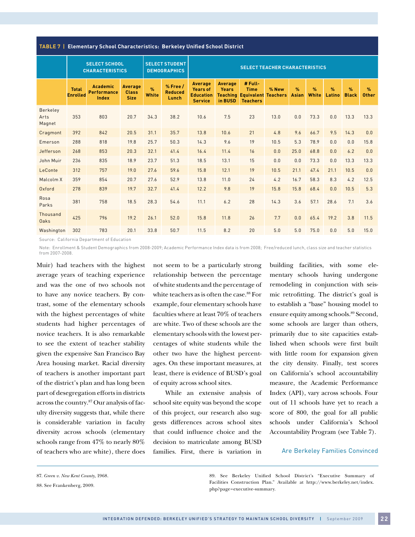**Table 7 | Elementary School Characteristics: Berkeley Unified School District**

|                            |                                 | <b>SELECT SCHOOL</b><br><b>SELECT STUDENT</b><br><b>CHARACTERISTICS</b><br><b>DEMOGRAPHICS</b> |                                        | <b>SELECT TEACHER CHARACTERISTICS</b> |                                         |                                                                         |                                           |                                                                         |                          |                               |                        |                         |                               |                      |
|----------------------------|---------------------------------|------------------------------------------------------------------------------------------------|----------------------------------------|---------------------------------------|-----------------------------------------|-------------------------------------------------------------------------|-------------------------------------------|-------------------------------------------------------------------------|--------------------------|-------------------------------|------------------------|-------------------------|-------------------------------|----------------------|
|                            | <b>Total</b><br><b>Enrolled</b> | <b>Academic</b><br><b>Performance</b><br>Index                                                 | Average<br><b>Class</b><br><b>Size</b> | $\frac{9}{6}$<br><b>White</b>         | $%$ Free $/$<br><b>Reduced</b><br>Lunch | <b>Average</b><br><b>Years of</b><br><b>Education</b><br><b>Service</b> | <b>Average</b><br><b>Years</b><br>in BUSD | # Full-<br><b>Time</b><br><b>Teaching Equivalent</b><br><b>Teachers</b> | % New<br><b>Teachers</b> | $\frac{9}{6}$<br><b>Asian</b> | $\frac{9}{6}$<br>White | $\frac{9}{6}$<br>Latino | $\frac{9}{6}$<br><b>Black</b> | $\%$<br><b>Other</b> |
| Berkeley<br>Arts<br>Magnet | 353                             | 803                                                                                            | 20.7                                   | 34.3                                  | 38.2                                    | 10.6                                                                    | 7.5                                       | 23                                                                      | 13.0                     | 0.0                           | 73.3                   | 0.0                     | 13.3                          | 13.3                 |
| Cragmont                   | 392                             | 842                                                                                            | 20.5                                   | 31.1                                  | 35.7                                    | 13.8                                                                    | 10.6                                      | 21                                                                      | 4.8                      | 9.6                           | 66.7                   | 9.5                     | 14.3                          | 0.0                  |
| Emerson                    | 288                             | 818                                                                                            | 19.8                                   | 25.7                                  | 50.3                                    | 14.3                                                                    | 9.6                                       | 19                                                                      | 10.5                     | 5.3                           | 78.9                   | 0.0                     | 0.0                           | 15.8                 |
| Jefferson                  | 268                             | 853                                                                                            | 20.3                                   | 32.1                                  | 41.4                                    | 16.4                                                                    | 11.4                                      | 16                                                                      | 0.0                      | 25.0                          | 68.8                   | 0.0                     | 6.2                           | 0.0                  |
| John Muir                  | 236                             | 835                                                                                            | 18.9                                   | 23.7                                  | 51.3                                    | 18.5                                                                    | 13.1                                      | 15                                                                      | 0.0                      | 0.0                           | 73.3                   | 0.0                     | 13.3                          | 13.3                 |
| LeConte                    | 312                             | 757                                                                                            | 19.0                                   | 27.6                                  | 59.6                                    | 15.8                                                                    | 12.1                                      | 19                                                                      | 10.5                     | 21.1                          | 47.4                   | 21.1                    | 10.5                          | 0.0                  |
| Malcolm X                  | 359                             | 854                                                                                            | 20.7                                   | 27.6                                  | 52.9                                    | 13.8                                                                    | 11.0                                      | 24                                                                      | 4.2                      | 16.7                          | 58.3                   | 8.3                     | 4.2                           | 12.5                 |
| Oxford                     | 278                             | 839                                                                                            | 19.7                                   | 32.7                                  | 41.4                                    | 12.2                                                                    | 9.8                                       | 19                                                                      | 15.8                     | 15.8                          | 68.4                   | 0.0                     | 10.5                          | 5.3                  |
| Rosa<br>Parks              | 381                             | 758                                                                                            | 18.5                                   | 28.3                                  | 54.6                                    | 11.1                                                                    | 6.2                                       | 28                                                                      | 14.3                     | 3.6                           | 57.1                   | 28.6                    | 7.1                           | 3.6                  |
| Thousand<br>Oaks           | 425                             | 796                                                                                            | 19.2                                   | 26.1                                  | 52.0                                    | 15.8                                                                    | 11.8                                      | 26                                                                      | 7.7                      | 0.0                           | 65.4                   | 19.2                    | 3.8                           | 11.5                 |
| Washington                 | 302                             | 783                                                                                            | 20.1                                   | 33.8                                  | 50.7                                    | 11.5                                                                    | 8.2                                       | 20                                                                      | 5.0                      | 5.0                           | 75.0                   | 0.0                     | 5.0                           | 15.0                 |

Source: California Department of Education

Note: Enrollment & Student Demographics from 2008-2009; Academic Performance Index data is from 2008; Free/reduced lunch, class size and teacher statistics from 2007-2008.

Muir) had teachers with the highest average years of teaching experience and was the one of two schools not to have any novice teachers. By contrast, some of the elementary schools with the highest percentages of white students had higher percentages of novice teachers. It is also remarkable to see the extent of teacher stability given the expensive San Francisco Bay Area housing market. Racial diversity of teachers is another important part of the district's plan and has long been part of desegregation efforts in districts across the country.87 Our analysis of faculty diversity suggests that, while there is considerable variation in faculty diversity across schools (elementary schools range from 47% to nearly 80% of teachers who are white), there does

not seem to be a particularly strong relationship between the percentage of white students and the percentage of white teachers as is often the case.<sup>88</sup> For example, four elementary schools have faculties where at least 70% of teachers are white. Two of these schools are the elementary schools with the lowest percentages of white students while the other two have the highest percentages. On these important measures, at least, there is evidence of BUSD's goal of equity across school sites.

While an extensive analysis of school site equity was beyond the scope of this project, our research also suggests differences across school sites that could influence choice and the decision to matriculate among BUSD families. First, there is variation in building facilities, with some elementary schools having undergone remodeling in conjunction with seismic retrofitting. The district's goal is to establish a "base" housing model to ensure equity among schools.89 Second, some schools are larger than others, primarily due to site capacities established when schools were first built with little room for expansion given the city density. Finally, test scores on California's school accountability measure, the Academic Performance Index (API), vary across schools. Four out of 11 schools have yet to reach a score of 800, the goal for all public schools under California's School Accountability Program (see Table 7).

#### Are Berkeley Families Convinced

89. See Berkeley Unified School District's "Executive Summary of Facilities Construction Plan." Available at http://www.berkeley.net/index. php?page=executive-summary.

<sup>87.</sup> *Green v. New Kent County*, 1968.

<sup>88.</sup> See Frankenberg, 2009.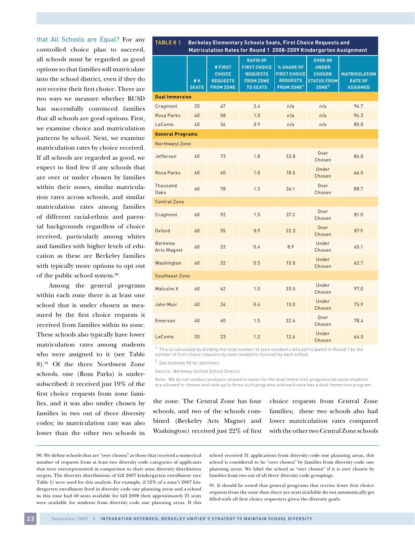that All Schools are Equal? For any controlled choice plan to succeed, all schools must be regarded as good options so that families will matriculate into the school district, even if they do not receive their first choice. There are two ways we measure whether BUSD has successfully convinced families that all schools are good options. First, we examine choice and matriculation patterns by school. Next, we examine matriculation rates by choice received. If all schools are regarded as good, we expect to find few if any schools that are over or under chosen by families within their zones, similar matriculation rates across schools, and similar matriculation rates among families of different racial-ethnic and parental backgrounds regardless of choice received, particularly among whites and families with higher levels of education as these are Berkeley families with typically more options to opt out of the public school system.90

Among the general programs within each zone there is at least one school that is under chosen as measured by the first choice requests it received from families within its zone. These schools also typically have lower matriculation rates among students who were assigned to it (see Table 8).91 Of the three Northwest Zone schools, one (Rosa Parks) is undersubscribed: it received just 19% of the first choice requests from zone families, and it was also under chosen by families in two out of three diversity codes; its matriculation rate was also lower than the other two schools in

| TABLE 8                        | Berkeley Elementary Schools Seats, First Choice Requests and<br>Matriculation Rates for Round 1 2008-2009 Kindergarten Assignment |                                                                 |                                                                                                  |                                                                                |                                                                                            |                                                           |  |  |
|--------------------------------|-----------------------------------------------------------------------------------------------------------------------------------|-----------------------------------------------------------------|--------------------------------------------------------------------------------------------------|--------------------------------------------------------------------------------|--------------------------------------------------------------------------------------------|-----------------------------------------------------------|--|--|
|                                | # K<br><b>SEATS</b>                                                                                                               | # FIRST<br><b>CHOICE</b><br><b>REQUESTS</b><br><b>FROM ZONE</b> | <b>RATIO OF</b><br><b>FIRST CHOICE</b><br><b>REQUESTS</b><br><b>FROM ZONE</b><br><b>TO SEATS</b> | % SHARE OF<br><b>FIRST CHOICE</b><br><b>REQUESTS</b><br>FROM ZONE <sup>1</sup> | <b>OVER OR</b><br><b>UNDER</b><br><b>CHOSEN</b><br><b>STATUS FROM</b><br>ZONE <sup>2</sup> | <b>MATRICULATION</b><br><b>RATE OF</b><br><b>ASSIGNED</b> |  |  |
| <b>Dual Immersion</b>          |                                                                                                                                   |                                                                 |                                                                                                  |                                                                                |                                                                                            |                                                           |  |  |
| Cragmont                       | 20                                                                                                                                | 67                                                              | 3.4                                                                                              | n/a                                                                            | n/a                                                                                        | 94.7                                                      |  |  |
| Rosa Parks                     | 40                                                                                                                                | 58                                                              | 1.5                                                                                              | n/a                                                                            | n/a                                                                                        | 94.3                                                      |  |  |
| LeConte                        | 40                                                                                                                                | 36                                                              | 0.9                                                                                              | n/a                                                                            | n/a                                                                                        | 80.0                                                      |  |  |
| <b>General Programs</b>        |                                                                                                                                   |                                                                 |                                                                                                  |                                                                                |                                                                                            |                                                           |  |  |
| Northwest Zone                 |                                                                                                                                   |                                                                 |                                                                                                  |                                                                                |                                                                                            |                                                           |  |  |
| Jefferson                      | 40                                                                                                                                | 73                                                              | 1.8                                                                                              | 33.8                                                                           | Over<br>Chosen                                                                             | 86.0                                                      |  |  |
| Rosa Parks                     | 40                                                                                                                                | 40                                                              | 1.0                                                                                              | 18.5                                                                           | Under<br>Chosen                                                                            | 66.0                                                      |  |  |
| Thousand<br>Oaks               | 60                                                                                                                                | 78                                                              | 1.3                                                                                              | 36.1                                                                           | Over<br>Chosen                                                                             | 88.7                                                      |  |  |
| <b>Central Zone</b>            |                                                                                                                                   |                                                                 |                                                                                                  |                                                                                |                                                                                            |                                                           |  |  |
| Cragmont                       | 60                                                                                                                                | 92                                                              | 1.5                                                                                              | 37.2                                                                           | Over<br>Chosen                                                                             | 81.0                                                      |  |  |
| Oxford                         | 60                                                                                                                                | 55                                                              | 0.9                                                                                              | 22.3                                                                           | Over<br>Chosen                                                                             | 87.9                                                      |  |  |
| Berkeley<br><b>Arts Magnet</b> | 60                                                                                                                                | 22                                                              | 0.4                                                                                              | 8.9                                                                            | Under<br>Chosen                                                                            | 65.1                                                      |  |  |
| Washington                     | 60                                                                                                                                | 32                                                              | 0.5                                                                                              | 13.0                                                                           | Under<br>Chosen                                                                            | 62.7                                                      |  |  |
| Southeast Zone                 |                                                                                                                                   |                                                                 |                                                                                                  |                                                                                |                                                                                            |                                                           |  |  |
| Malcolm X                      | 60                                                                                                                                | 62                                                              | 1.0                                                                                              | 33.5                                                                           | Under<br>Chosen                                                                            | 97.0                                                      |  |  |
| John Muir                      | 40                                                                                                                                | 24                                                              | 0.6                                                                                              | 13.0                                                                           | Under<br>Chosen                                                                            | 75.9                                                      |  |  |
| Emerson                        | 40                                                                                                                                | 60                                                              | 1.5                                                                                              | 32.4                                                                           | Over<br>Chosen                                                                             | 78.4                                                      |  |  |
| LeConte                        | 20                                                                                                                                | 23                                                              | 1.2                                                                                              | 12.4                                                                           | Under<br>Chosen                                                                            | 64.0                                                      |  |  |

 $^{\rm 1}$  This is calculated by dividing the total number of zone residents who participated in Round 1 by the number of first choice requests by zone residents received by each school.

2 See footnote 90 for definition.

Source: Berkeley Unified School District

Note: We do not conduct analyses related to zones for the dual immersion programs because students are allowed to choose and rank up to three such programs and each zone has a dual immersion program.

the zone. The Central Zone has four schools, and two of the schools combined (Berkeley Arts Magnet and Washington) received just 22% of first

choice requests from Central Zone families; these two schools also had lower matriculation rates compared with the other two Central Zone schools

90. We define schools that are "over chosen" as those that received a numerical number of requests from at least two diversity code categories of applicants that were overrepresented in comparison to their zone diversity distribution targets. The diversity distributions of fall 2007 kindergarten enrollment (see Table 1) were used for this analysis. For example, if 52% of a zone's 2007 kindergarten enrollment lived in diversity code one planning areas and a school in this zone had 40 seats available for fall 2008 then approximately 21 seats were available for students from diversity code one planning areas. If this school received 31 applications from diversity code one planning areas, this school is considered to be "over chosen" by families from diversity code one planning areas. We label the school as "over chosen" if it is over chosen by families from two out of all three diversity code groupings.

91. It should be noted that general programs that receive fewer first choice requests from the zone than there are seats available do not automatically get filled with all first choice requesters given the diversity goals.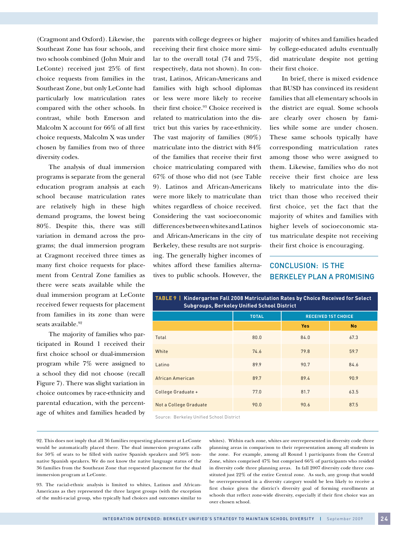(Cragmont and Oxford). Likewise, the Southeast Zone has four schools, and two schools combined (John Muir and LeConte) received just 25% of first choice requests from families in the Southeast Zone, but only LeConte had particularly low matriculation rates compared with the other schools. In contrast, while both Emerson and Malcolm X account for 66% of all first choice requests, Malcolm X was under chosen by families from two of three diversity codes.

The analysis of dual immersion programs is separate from the general education program analysis at each school because matriculation rates are relatively high in these high demand programs, the lowest being 80%. Despite this, there was still variation in demand across the programs; the dual immersion program at Cragmont received three times as many first choice requests for placement from Central Zone families as there were seats available while the dual immersion program at LeConte received fewer requests for placement from families in its zone than were seats available.<sup>92</sup>

The majority of families who participated in Round 1 received their first choice school or dual-immersion program while 7% were assigned to a school they did not choose (recall Figure 7). There was slight variation in choice outcomes by race-ethnicity and parental education, with the percentage of whites and families headed by parents with college degrees or higher receiving their first choice more similar to the overall total (74 and 75%, respectively, data not shown). In contrast, Latinos, African-Americans and families with high school diplomas or less were more likely to receive their first choice.<sup>93</sup> Choice received is related to matriculation into the district but this varies by race-ethnicity. The vast majority of families (80%) matriculate into the district with 84% of the families that receive their first choice matriculating compared with 67% of those who did not (see Table 9). Latinos and African-Americans were more likely to matriculate than whites regardless of choice received. Considering the vast socioeconomic differences between whites and Latinos and African-Americans in the city of Berkeley, these results are not surprising. The generally higher incomes of whites afford these families alternatives to public schools. However, the majority of whites and families headed by college-educated adults eventually did matriculate despite not getting their first choice.

In brief, there is mixed evidence that BUSD has convinced its resident families that all elementary schools in the district are equal. Some schools are clearly over chosen by families while some are under chosen. These same schools typically have corresponding matriculation rates among those who were assigned to them. Likewise, families who do not receive their first choice are less likely to matriculate into the district than those who received their first choice, yet the fact that the majority of whites and families with higher levels of socioeconomic status matriculate despite not receiving their first choice is encouraging.

# CONCLUSION: IS THE BERKELEY PLAN A PROMISING

| TABLE 9   Kindergarten Fall 2008 Matriculation Rates by Choice Received for Select<br><b>Subgroups, Berkeley Unified School District</b> |              |                            |           |  |  |  |  |  |
|------------------------------------------------------------------------------------------------------------------------------------------|--------------|----------------------------|-----------|--|--|--|--|--|
|                                                                                                                                          | <b>TOTAL</b> | <b>RECEIVED 1ST CHOICE</b> |           |  |  |  |  |  |
|                                                                                                                                          |              | <b>Yes</b>                 | <b>No</b> |  |  |  |  |  |
| Total                                                                                                                                    | 80.0         | 84.0                       | 67.3      |  |  |  |  |  |
| White                                                                                                                                    | 74.6         | 79.8                       | 59.7      |  |  |  |  |  |
| Latino                                                                                                                                   | 89.9         | 90.7                       | 84.6      |  |  |  |  |  |
| African American                                                                                                                         | 89.7         | 89.4                       | 90.9      |  |  |  |  |  |
| College Graduate +                                                                                                                       | 77.0         | 81.7                       | 63.5      |  |  |  |  |  |
| Not a College Graduate                                                                                                                   | 90.0         | 90.6                       | 87.5      |  |  |  |  |  |

Source: Berkeley Unified School District

92. This does not imply that all 36 families requesting placement at LeConte would be automatically placed there. The dual immersion programs calls for 50% of seats to be filled with native Spanish speakers and 50% nonnative Spanish speakers. We do not know the native language status of the 36 families from the Southeast Zone that requested placement for the dual immersion program at LeConte.

93. The racial-ethnic analysis is limited to whites, Latinos and African-Americans as they represented the three largest groups (with the exception of the multi-racial group, who typically had choices and outcomes similar to whites). Within each zone, whites are overrepresented in diversity code three planning areas in comparison to their representation among all students in the zone. For example, among all Round 1 participants from the Central Zone, whites comprised 47% but comprised 66% of participants who resided in diversity code three planning areas. In fall 2007 diversity code three constituted just 22% of the entire Central zone. As such, any group that would be overrepresented in a diversity category would be less likely to receive a first choice given the district's diversity goal of forming enrollments at schools that reflect zone-wide diversity, especially if their first choice was an over chosen school.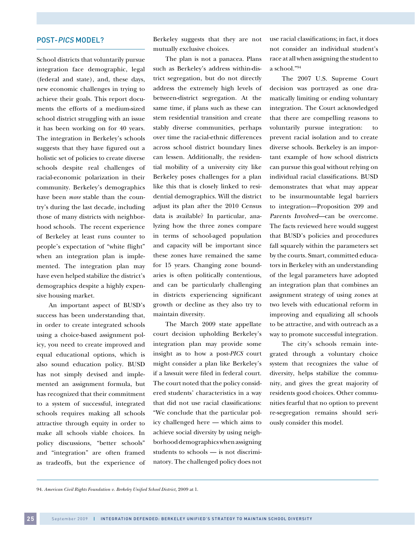#### POST-PICS MODEL?

School districts that voluntarily pursue integration face demographic, legal (federal and state), and, these days, new economic challenges in trying to achieve their goals. This report documents the efforts of a medium-sized school district struggling with an issue it has been working on for 40 years. The integration in Berkeley's schools suggests that they have figured out a holistic set of policies to create diverse schools despite real challenges of racial-economic polarization in their community. Berkeley's demographics have been *more* stable than the country's during the last decade, including those of many districts with neighborhood schools. The recent experience of Berkeley at least runs counter to people's expectation of "white flight" when an integration plan is implemented. The integration plan may have even helped stabilize the district's demographics despite a highly expensive housing market.

An important aspect of BUSD's success has been understanding that, in order to create integrated schools using a choice-based assignment policy, you need to create improved and equal educational options, which is also sound education policy. BUSD has not simply devised and implemented an assignment formula, but has recognized that their commitment to a system of successful, integrated schools requires making all schools attractive through equity in order to make all schools viable choices. In policy discussions, "better schools" and "integration" are often framed as tradeoffs, but the experience of Berkeley suggests that they are not mutually exclusive choices.

The plan is not a panacea. Plans such as Berkeley's address within-district segregation, but do not directly address the extremely high levels of between-district segregation. At the same time, if plans such as these can stem residential transition and create stably diverse communities, perhaps over time the racial-ethnic differences across school district boundary lines can lessen. Additionally, the residential mobility of a university city like Berkeley poses challenges for a plan like this that is closely linked to residential demographics. Will the district adjust its plan after the 2010 Census data is available? In particular, analyzing how the three zones compare in terms of school-aged population and capacity will be important since these zones have remained the same for 15 years. Changing zone boundaries is often politically contentious, and can be particularly challenging in districts experiencing significant growth or decline as they also try to maintain diversity.

The March 2009 state appellate court decision upholding Berkeley's integration plan may provide some insight as to how a post-*PICS* court might consider a plan like Berkeley's if a lawsuit were filed in federal court. The court noted that the policy considered students' characteristics in a way that did not use racial classifications: "We conclude that the particular policy challenged here — which aims to achieve social diversity by using neighborhood demographics when assigning students to schools — is not discriminatory. The challenged policy does not use racial classifications; in fact, it does not consider an individual student's race at all when assigning the student to a school."94

The 2007 U.S. Supreme Court decision was portrayed as one dramatically limiting or ending voluntary integration. The Court acknowledged that there are compelling reasons to voluntarily pursue integration: to prevent racial isolation and to create diverse schools. Berkeley is an important example of how school districts can pursue this goal without relying on individual racial classifications. BUSD demonstrates that what may appear to be insurmountable legal barriers to integration—Proposition 209 and Parents Involved—can be overcome. The facts reviewed here would suggest that BUSD's policies and procedures fall squarely within the parameters set by the courts. Smart, committed educators in Berkeley with an understanding of the legal parameters have adopted an integration plan that combines an assignment strategy of using zones at two levels with educational reform in improving and equalizing all schools to be attractive, and with outreach as a way to promote successful integration.

The city's schools remain integrated through a voluntary choice system that recognizes the value of diversity, helps stabilize the community, and gives the great majority of residents good choices. Other communities fearful that no option to prevent re-segregation remains should seriously consider this model.

<sup>94.</sup> *American Civil Rights Foundation v. Berkeley Unified School District,* 2009 at 1.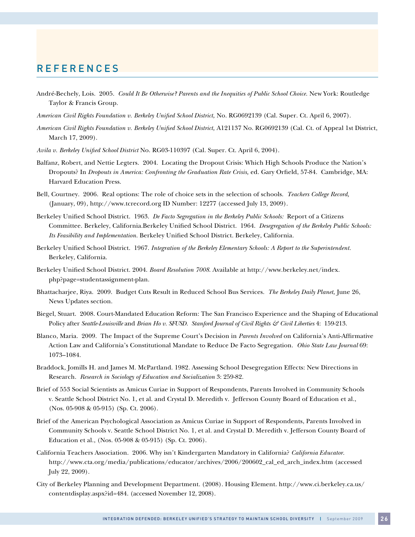# **REFERENCES**

- André-Bechely, Lois. 2005. *Could It Be Otherwise? Parents and the Inequities of Public School Choice.* New York: Routledge Taylor & Francis Group.
- *American Civil Rights Foundation v. Berkeley Unified School District,* No. RG0692139 (Cal. Super. Ct. April 6, 2007).
- *American Civil Rights Foundation v. Berkeley Unified School District,* A121137 No. RG0692139 (Cal. Ct. of Appeal 1st District, March 17, 2009).
- *Avila v. Berkeley Unified School District* No. RG03-110397 (Cal. Super. Ct. April 6, 2004).
- Balfanz, Robert, and Nettie Legters. 2004. Locating the Dropout Crisis: Which High Schools Produce the Nation's Dropouts? In *Dropouts in America: Confronting the Graduation Rate Crisis,* ed. Gary Orfield, 57-84. Cambridge, MA: Harvard Education Press.
- Bell, Courtney. 2006. Real options: The role of choice sets in the selection of schools. *Teachers College Record,* (January, 09), http://www.tcrecord.org ID Number: 12277 (accessed July 13, 2009).
- Berkeley Unified School District. 1963. *De Facto Segregation in the Berkeley Public Schools:* Report of a Citizens Committee. Berkeley, California.Berkeley Unified School District. 1964. *Desegregation of the Berkeley Public Schools: Its Feasibility and Implementation.* Berkeley Unified School District. Berkeley, California.
- Berkeley Unified School District. 1967. *Integration of the Berkeley Elementary Schools: A Report to the Superintendent.* Berkeley, California.
- Berkeley Unified School District. 2004. *Board Resolution 7008*. Available at http://www.berkeley.net/index. php?page=studentassignment-plan.
- Bhattacharjee, Riya. 2009. Budget Cuts Result in Reduced School Bus Services. *The Berkeley Daily Planet,* June 26, News Updates section.
- Biegel, Stuart. 2008. Court-Mandated Education Reform: The San Francisco Experience and the Shaping of Educational Policy after *Seattle-Louisville* and *Brian Ho v. SFUSD.* Stanford Journal of Civil Rights & Civil Liberties 4: 159-213.
- Blanco, Maria. 2009. The Impact of the Supreme Court's Decision in *Parents Involved* on California's Anti-Affirmative Action Law and California's Constitutional Mandate to Reduce De Facto Segregation. *Ohio State Law Journal* 69: 1073–1084.
- Braddock, Jomills H. and James M. McPartland. 1982. Assessing School Desegregation Effects: New Directions in Research. *Research in Sociology of Education and Socialization* 3: 259-82.
- Brief of 553 Social Scientists as Amicus Curiae in Support of Respondents, Parents Involved in Community Schools v. Seattle School District No. 1, et al. and Crystal D. Meredith v. Jefferson County Board of Education et al., (Nos. 05-908 & 05-915) (Sp. Ct. 2006).
- Brief of the American Psychological Association as Amicus Curiae in Support of Respondents, Parents Involved in Community Schools v. Seattle School District No. 1, et al. and Crystal D. Meredith v. Jefferson County Board of Education et al., (Nos. 05-908 & 05-915) (Sp. Ct. 2006).
- California Teachers Association. 2006. Why isn't Kindergarten Mandatory in California? *California Educator.* http://www.cta.org/media/publications/educator/archives/2006/200602\_cal\_ed\_arch\_index.htm (accessed July 22, 2009).
- City of Berkeley Planning and Development Department. (2008). Housing Element. http://www.ci.berkeley.ca.us/ contentdisplay.aspx?id=484. (accessed November 12, 2008).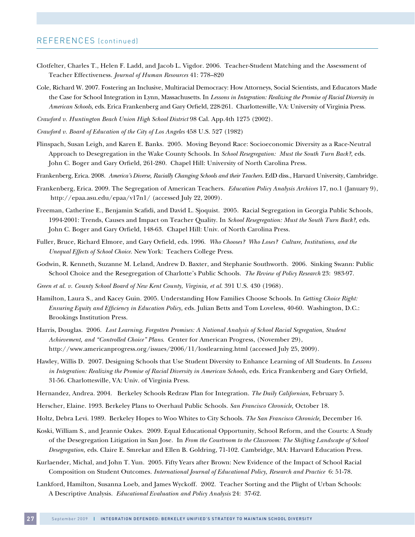# REFERENCES (continued)

- Clotfelter, Charles T., Helen F. Ladd, and Jacob L. Vigdor. 2006. Teacher-Student Matching and the Assessment of Teacher Effectiveness. *Journal of Human Resources* 41: 778–820
- Cole, Richard W. 2007. Fostering an Inclusive, Multiracial Democracy: How Attorneys, Social Scientists, and Educators Made the Case for School Integration in Lynn, Massachusetts. In *Lessons in Integration: Realizing the Promise of Racial Diversity in American Schools,* eds. Erica Frankenberg and Gary Orfield, 228-261. Charlottesville, VA: University of Virginia Press.
- *Crawford v. Huntington Beach Union High School District* 98 Cal. App.4th 1275 (2002).
- *Crawford v. Board of Education of the City of Los Angeles* 458 U.S. 527 (1982)
- Flinspach, Susan Leigh, and Karen E. Banks. 2005. Moving Beyond Race: Socioeconomic Diversity as a Race-Neutral Approach to Desegregation in the Wake County Schools. In *School Resegregation: Must the South Turn Back?*, eds. John C. Boger and Gary Orfield, 261-280. Chapel Hill: University of North Carolina Press.
- Frankenberg, Erica. 2008. *America's Diverse, Racially Changing Schools and their Teachers.* EdD diss., Harvard University, Cambridge.
- Frankenberg, Erica. 2009. The Segregation of American Teachers. *Education Policy Analysis Archives* 17, no.1 (January 9), http://epaa.asu.edu/epaa/v17n1/ (accessed July 22, 2009).
- Freeman, Catherine E., Benjamin Scafidi, and David L. Sjoquist. 2005. Racial Segregation in Georgia Public Schools, 1994-2001: Trends, Causes and Impact on Teacher Quality. In *School Resegregation: Must the South Turn Back?,* eds. John C. Boger and Gary Orfield, 148-63. Chapel Hill: Univ. of North Carolina Press.
- Fuller, Bruce, Richard Elmore, and Gary Orfield, eds. 1996. *Who Chooses? Who Loses? Culture, Institutions, and the Unequal Effects of School Choice.* New York: Teachers College Press.
- Godwin, R. Kenneth, Suzanne M. Leland, Andrew D. Baxter, and Stephanie Southworth. 2006. Sinking Swann: Public School Choice and the Resegregation of Charlotte's Public Schools. *The Review of Policy Research* 23: 983-97.
- *Green et al. v. County School Board of New Kent County, Virginia, et al.* 391 U.S. 430 (1968).
- Hamilton, Laura S., and Kacey Guin. 2005. Understanding How Families Choose Schools. In *Getting Choice Right: Ensuring Equity and Efficiency in Education Policy,* eds. Julian Betts and Tom Loveless, 40-60. Washington, D.C.: Brookings Institution Press.
- Harris, Douglas. 2006. *Lost Learning, Forgotten Promises: A National Analysis of School Racial Segregation, Student Achievement, and "Controlled Choice" Plans*. Center for American Progress, (November 29), http://www.americanprogress.org/issues/2006/11/lostlearning.html (accessed July 25, 2009).
- Hawley, Willis D. 2007. Designing Schools that Use Student Diversity to Enhance Learning of All Students. In *Lessons in Integration: Realizing the Promise of Racial Diversity in American Schools,* eds. Erica Frankenberg and Gary Orfield, 31-56. Charlottesville, VA: Univ. of Virginia Press.
- Hernandez, Andrea. 2004. Berkeley Schools Redraw Plan for Integration. *The Daily Californian,* February 5.
- Herscher, Elaine. 1993. Berkeley Plans to Overhaul Public Schools. *San Francisco Chronicle,* October 18.
- Holtz, Debra Levi. 1989. Berkeley Hopes to Woo Whites to City Schools. *The San Francisco Chronicle,* December 16.
- Koski, William S., and Jeannie Oakes. 2009. Equal Educational Opportunity, School Reform, and the Courts: A Study of the Desegregation Litigation in San Jose. In *From the Courtroom to the Classroom: The Shifting Landscape of School Desegregation,* eds. Claire E. Smrekar and Ellen B. Goldring, 71-102. Cambridge, MA: Harvard Education Press.
- Kurlaender, Michal, and John T. Yun. 2005. Fifty Years after Brown: New Evidence of the Impact of School Racial Composition on Student Outcomes. *International Journal of Educational Policy, Research and Practice* 6: 51-78.
- Lankford, Hamilton, Susanna Loeb, and James Wyckoff. 2002. Teacher Sorting and the Plight of Urban Schools: A Descriptive Analysis. *Educational Evaluation and Policy Analysis* 24: 37-62.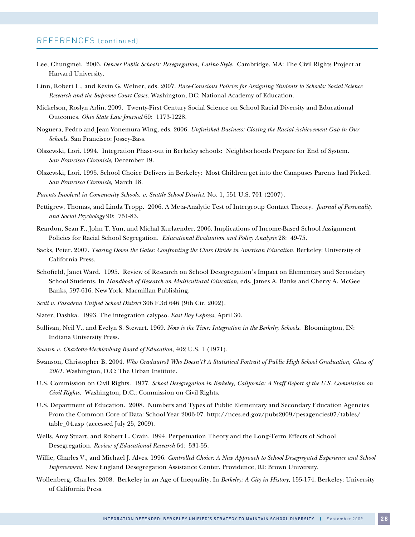# REFERENCES (continued)

- Lee, Chungmei. 2006. *Denver Public Schools: Resegregation, Latino Style.* Cambridge, MA: The Civil Rights Project at Harvard University.
- Linn, Robert L., and Kevin G. Welner, eds. 2007. *Race-Conscious Policies for Assigning Students to Schools: Social Science Research and the Supreme Court Cases.* Washington, DC: National Academy of Education.
- Mickelson, Roslyn Arlin. 2009. Twenty-First Century Social Science on School Racial Diversity and Educational Outcomes. *Ohio State Law Journal* 69: 1173-1228.
- Noguera, Pedro and Jean Yonemura Wing, eds. 2006. *Unfinished Business: Closing the Racial Achievement Gap in Our Schools.* San Francisco: Jossey-Bass.
- Olszewski, Lori. 1994. Integration Phase-out in Berkeley schools: Neighborhoods Prepare for End of System. *San Francisco Chronicle,* December 19.
- Olszewski, Lori. 1995. School Choice Delivers in Berkeley: Most Children get into the Campuses Parents had Picked. *San Francisco Chronicle,* March 18.
- *Parents Involved in Community Schools. v. Seattle School District.* No. 1, 551 U.S. 701 (2007).
- Pettigrew, Thomas, and Linda Tropp. 2006. A Meta-Analytic Test of Intergroup Contact Theory. *Journal of Personality and Social Psychology* 90: 751-83.
- Reardon, Sean F., John T. Yun, and Michal Kurlaender. 2006. Implications of Income-Based School Assignment Policies for Racial School Segregation. *Educational Evaluation and Policy Analysis* 28: 49-75.
- Sacks, Peter. 2007. *Tearing Down the Gates: Confronting the Class Divide in American Education.* Berkeley: University of California Press.
- Schofield, Janet Ward. 1995. Review of Research on School Desegregation's Impact on Elementary and Secondary School Students. In *Handbook of Research on Multicultural Education,* eds. James A. Banks and Cherry A. McGee Banks, 597-616. New York: Macmillan Publishing.
- *Scott v. Pasadena Unified School District* 306 F.3d 646 (9th Cir. 2002).
- Slater, Dashka. 1993. The integration calypso. *East Bay Express,* April 30.
- Sullivan, Neil V., and Evelyn S. Stewart. 1969. *Now is the Time: Integration in the Berkeley Schools.* Bloomington, IN: Indiana University Press.
- *Swann v. Charlotte-Mecklenburg Board of Education*, 402 U.S. 1 (1971).
- Swanson, Christopher B. 2004. *Who Graduates? Who Doesn't? A Statistical Portrait of Public High School Graduation, Class of 2001.* Washington, D.C: The Urban Institute.
- U.S. Commission on Civil Rights. 1977. *School Desegregation in Berkeley, California: A Staff Report of the U.S. Commission on Civil Rights.* Washington, D.C.: Commission on Civil Rights.
- U.S. Department of Education. 2008. Numbers and Types of Public Elementary and Secondary Education Agencies From the Common Core of Data: School Year 2006-07. http://nces.ed.gov/pubs2009/pesagencies07/tables/ table\_04.asp (accessed July 25, 2009).
- Wells, Amy Stuart, and Robert L. Crain. 1994. Perpetuation Theory and the Long-Term Effects of School Desegregation. *Review of Educational Research* 64: 531-55.
- Willie, Charles V., and Michael J. Alves. 1996. *Controlled Choice: A New Approach to School Desegregated Experience and School Improvement.* New England Desegregation Assistance Center. Providence, RI: Brown University.
- Wollenberg, Charles. 2008. Berkeley in an Age of Inequality. In *Berkeley: A City in History,* 155-174. Berkeley: University of California Press.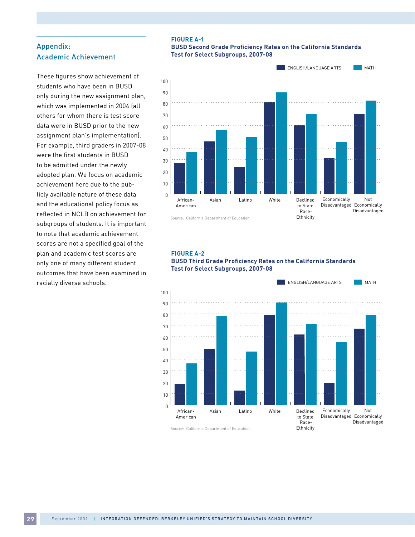# Appendix: Academic Achievement

These figures show achievement of students who have been in BUSD only during the new assignment plan, which was implemented in 2004 (all others for whom there is test score data were in BUSD prior to the new assignment plan's implementation). For example, third graders in 2007-08 were the first students in BUSD to be admitted under the newly adopted plan. We focus on academic achievement here due to the publicly available nature of these data and the educational policy focus as reflected in NCLB on achievement for subgroups of students. It is important to note that academic achievement scores are not a specified goal of the plan and academic test scores are only one of many different student outcomes that have been examined in racially diverse schools.

#### **Figure a-1**

#### **BUSD Second Grade Proficiency Rates on the California Standards Test for Select Subgroups, 2007-08**



Source: California Department of Education

#### **Figure a-2 BUSD Third Grade Proficiency Rates on the California Standards Test for Select Subgroups, 2007-08**